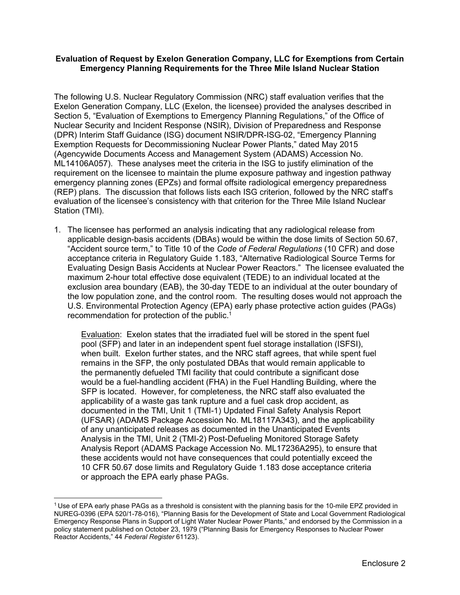#### **Evaluation of Request by Exelon Generation Company, LLC for Exemptions from Certain Emergency Planning Requirements for the Three Mile Island Nuclear Station**

The following U.S. Nuclear Regulatory Commission (NRC) staff evaluation verifies that the Exelon Generation Company, LLC (Exelon, the licensee) provided the analyses described in Section 5, "Evaluation of Exemptions to Emergency Planning Regulations," of the Office of Nuclear Security and Incident Response (NSIR), Division of Preparedness and Response (DPR) Interim Staff Guidance (ISG) document NSIR/DPR-ISG-02, "Emergency Planning Exemption Requests for Decommissioning Nuclear Power Plants," dated May 2015 (Agencywide Documents Access and Management System (ADAMS) Accession No. ML14106A057). These analyses meet the criteria in the ISG to justify elimination of the requirement on the licensee to maintain the plume exposure pathway and ingestion pathway emergency planning zones (EPZs) and formal offsite radiological emergency preparedness (REP) plans. The discussion that follows lists each ISG criterion, followed by the NRC staff's evaluation of the licensee's consistency with that criterion for the Three Mile Island Nuclear Station (TMI).

1. The licensee has performed an analysis indicating that any radiological release from applicable design-basis accidents (DBAs) would be within the dose limits of Section 50.67, "Accident source term," to Title 10 of the *Code of Federal Regulations* (10 CFR) and dose acceptance criteria in Regulatory Guide 1.183, "Alternative Radiological Source Terms for Evaluating Design Basis Accidents at Nuclear Power Reactors." The licensee evaluated the maximum 2-hour total effective dose equivalent (TEDE) to an individual located at the exclusion area boundary (EAB), the 30-day TEDE to an individual at the outer boundary of the low population zone, and the control room. The resulting doses would not approach the U.S. Environmental Protection Agency (EPA) early phase protective action guides (PAGs) recommendation for protection of the public.1

Evaluation: Exelon states that the irradiated fuel will be stored in the spent fuel pool (SFP) and later in an independent spent fuel storage installation (ISFSI), when built. Exelon further states, and the NRC staff agrees, that while spent fuel remains in the SFP, the only postulated DBAs that would remain applicable to the permanently defueled TMI facility that could contribute a significant dose would be a fuel-handling accident (FHA) in the Fuel Handling Building, where the SFP is located. However, for completeness, the NRC staff also evaluated the applicability of a waste gas tank rupture and a fuel cask drop accident, as documented in the TMI, Unit 1 (TMI-1) Updated Final Safety Analysis Report (UFSAR) (ADAMS Package Accession No. ML18117A343), and the applicability of any unanticipated releases as documented in the Unanticipated Events Analysis in the TMI, Unit 2 (TMI-2) Post-Defueling Monitored Storage Safety Analysis Report (ADAMS Package Accession No. ML17236A295), to ensure that these accidents would not have consequences that could potentially exceed the 10 CFR 50.67 dose limits and Regulatory Guide 1.183 dose acceptance criteria or approach the EPA early phase PAGs.

 $\overline{a}$ 

 $1$  Use of EPA early phase PAGs as a threshold is consistent with the planning basis for the 10-mile EPZ provided in NUREG-0396 (EPA 520/1-78-016), "Planning Basis for the Development of State and Local Government Radiological Emergency Response Plans in Support of Light Water Nuclear Power Plants," and endorsed by the Commission in a policy statement published on October 23, 1979 ("Planning Basis for Emergency Responses to Nuclear Power Reactor Accidents," 44 *Federal Register* 61123).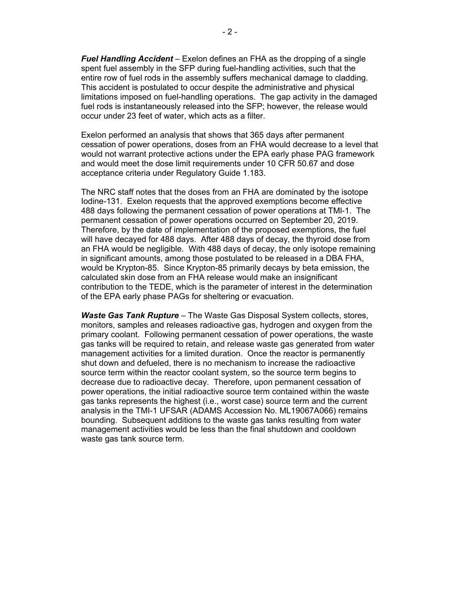*Fuel Handling Accident* – Exelon defines an FHA as the dropping of a single spent fuel assembly in the SFP during fuel-handling activities, such that the entire row of fuel rods in the assembly suffers mechanical damage to cladding. This accident is postulated to occur despite the administrative and physical limitations imposed on fuel-handling operations. The gap activity in the damaged fuel rods is instantaneously released into the SFP; however, the release would occur under 23 feet of water, which acts as a filter.

Exelon performed an analysis that shows that 365 days after permanent cessation of power operations, doses from an FHA would decrease to a level that would not warrant protective actions under the EPA early phase PAG framework and would meet the dose limit requirements under 10 CFR 50.67 and dose acceptance criteria under Regulatory Guide 1.183.

The NRC staff notes that the doses from an FHA are dominated by the isotope Iodine-131. Exelon requests that the approved exemptions become effective 488 days following the permanent cessation of power operations at TMl-1. The permanent cessation of power operations occurred on September 20, 2019. Therefore, by the date of implementation of the proposed exemptions, the fuel will have decayed for 488 days. After 488 days of decay, the thyroid dose from an FHA would be negligible. With 488 days of decay, the only isotope remaining in significant amounts, among those postulated to be released in a DBA FHA, would be Krypton-85. Since Krypton-85 primarily decays by beta emission, the calculated skin dose from an FHA release would make an insignificant contribution to the TEDE, which is the parameter of interest in the determination of the EPA early phase PAGs for sheltering or evacuation.

*Waste Gas Tank Rupture* – The Waste Gas Disposal System collects, stores, monitors, samples and releases radioactive gas, hydrogen and oxygen from the primary coolant. Following permanent cessation of power operations, the waste gas tanks will be required to retain, and release waste gas generated from water management activities for a limited duration. Once the reactor is permanently shut down and defueled, there is no mechanism to increase the radioactive source term within the reactor coolant system, so the source term begins to decrease due to radioactive decay. Therefore, upon permanent cessation of power operations, the initial radioactive source term contained within the waste gas tanks represents the highest (i.e., worst case) source term and the current analysis in the TMI-1 UFSAR (ADAMS Accession No. ML19067A066) remains bounding. Subsequent additions to the waste gas tanks resulting from water management activities would be less than the final shutdown and cooldown waste gas tank source term.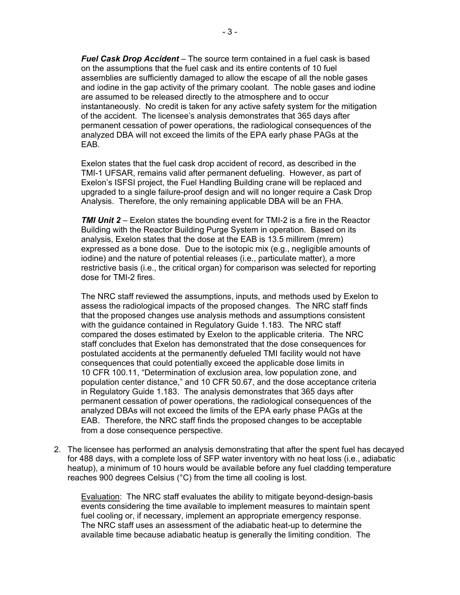*Fuel Cask Drop Accident* – The source term contained in a fuel cask is based on the assumptions that the fuel cask and its entire contents of 10 fuel assemblies are sufficiently damaged to allow the escape of all the noble gases and iodine in the gap activity of the primary coolant. The noble gases and iodine are assumed to be released directly to the atmosphere and to occur instantaneously. No credit is taken for any active safety system for the mitigation of the accident. The licensee's analysis demonstrates that 365 days after permanent cessation of power operations, the radiological consequences of the analyzed DBA will not exceed the limits of the EPA early phase PAGs at the EAB.

Exelon states that the fuel cask drop accident of record, as described in the TMI-1 UFSAR, remains valid after permanent defueling. However, as part of Exelon's ISFSI project, the Fuel Handling Building crane will be replaced and upgraded to a single failure-proof design and will no longer require a Cask Drop Analysis. Therefore, the only remaining applicable DBA will be an FHA.

*TMI Unit 2* – Exelon states the bounding event for TMI-2 is a fire in the Reactor Building with the Reactor Building Purge System in operation. Based on its analysis, Exelon states that the dose at the EAB is 13.5 millirem (mrem) expressed as a bone dose. Due to the isotopic mix (e.g., negligible amounts of iodine) and the nature of potential releases (i.e., particulate matter), a more restrictive basis (i.e., the critical organ) for comparison was selected for reporting dose for TMI-2 fires.

The NRC staff reviewed the assumptions, inputs, and methods used by Exelon to assess the radiological impacts of the proposed changes. The NRC staff finds that the proposed changes use analysis methods and assumptions consistent with the guidance contained in Regulatory Guide 1.183. The NRC staff compared the doses estimated by Exelon to the applicable criteria. The NRC staff concludes that Exelon has demonstrated that the dose consequences for postulated accidents at the permanently defueled TMI facility would not have consequences that could potentially exceed the applicable dose limits in 10 CFR 100.11, "Determination of exclusion area, low population zone, and population center distance," and 10 CFR 50.67, and the dose acceptance criteria in Regulatory Guide 1.183. The analysis demonstrates that 365 days after permanent cessation of power operations, the radiological consequences of the analyzed DBAs will not exceed the limits of the EPA early phase PAGs at the EAB. Therefore, the NRC staff finds the proposed changes to be acceptable from a dose consequence perspective.

2. The licensee has performed an analysis demonstrating that after the spent fuel has decayed for 488 days, with a complete loss of SFP water inventory with no heat loss (i.e., adiabatic heatup), a minimum of 10 hours would be available before any fuel cladding temperature reaches 900 degrees Celsius (°C) from the time all cooling is lost.

Evaluation: The NRC staff evaluates the ability to mitigate beyond-design-basis events considering the time available to implement measures to maintain spent fuel cooling or, if necessary, implement an appropriate emergency response. The NRC staff uses an assessment of the adiabatic heat-up to determine the available time because adiabatic heatup is generally the limiting condition. The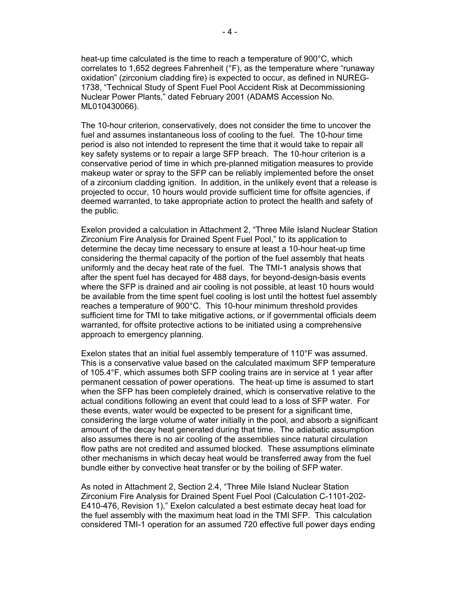heat-up time calculated is the time to reach a temperature of 900°C, which correlates to 1,652 degrees Fahrenheit (°F), as the temperature where "runaway oxidation" (zirconium cladding fire) is expected to occur, as defined in NUREG-1738, "Technical Study of Spent Fuel Pool Accident Risk at Decommissioning Nuclear Power Plants," dated February 2001 (ADAMS Accession No. ML010430066).

The 10-hour criterion, conservatively, does not consider the time to uncover the fuel and assumes instantaneous loss of cooling to the fuel. The 10-hour time period is also not intended to represent the time that it would take to repair all key safety systems or to repair a large SFP breach. The 10-hour criterion is a conservative period of time in which pre-planned mitigation measures to provide makeup water or spray to the SFP can be reliably implemented before the onset of a zirconium cladding ignition. In addition, in the unlikely event that a release is projected to occur, 10 hours would provide sufficient time for offsite agencies, if deemed warranted, to take appropriate action to protect the health and safety of the public.

Exelon provided a calculation in Attachment 2, "Three Mile Island Nuclear Station Zirconium Fire Analysis for Drained Spent Fuel Pool," to its application to determine the decay time necessary to ensure at least a 10-hour heat-up time considering the thermal capacity of the portion of the fuel assembly that heats uniformly and the decay heat rate of the fuel. The TMI-1 analysis shows that after the spent fuel has decayed for 488 days, for beyond-design-basis events where the SFP is drained and air cooling is not possible, at least 10 hours would be available from the time spent fuel cooling is lost until the hottest fuel assembly reaches a temperature of 900°C. This 10-hour minimum threshold provides sufficient time for TMI to take mitigative actions, or if governmental officials deem warranted, for offsite protective actions to be initiated using a comprehensive approach to emergency planning.

Exelon states that an initial fuel assembly temperature of 110°F was assumed. This is a conservative value based on the calculated maximum SFP temperature of 105.4°F, which assumes both SFP cooling trains are in service at 1 year after permanent cessation of power operations. The heat‐up time is assumed to start when the SFP has been completely drained, which is conservative relative to the actual conditions following an event that could lead to a loss of SFP water. For these events, water would be expected to be present for a significant time, considering the large volume of water initially in the pool, and absorb a significant amount of the decay heat generated during that time. The adiabatic assumption also assumes there is no air cooling of the assemblies since natural circulation flow paths are not credited and assumed blocked. These assumptions eliminate other mechanisms in which decay heat would be transferred away from the fuel bundle either by convective heat transfer or by the boiling of SFP water.

As noted in Attachment 2, Section 2.4, "Three Mile Island Nuclear Station Zirconium Fire Analysis for Drained Spent Fuel Pool (Calculation C-1101-202- E410-476, Revision 1)," Exelon calculated a best estimate decay heat load for the fuel assembly with the maximum heat load in the TMI SFP. This calculation considered TMI-1 operation for an assumed 720 effective full power days ending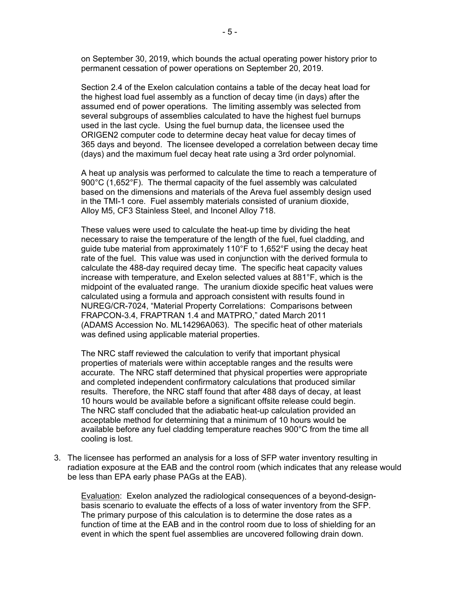on September 30, 2019, which bounds the actual operating power history prior to permanent cessation of power operations on September 20, 2019.

Section 2.4 of the Exelon calculation contains a table of the decay heat load for the highest load fuel assembly as a function of decay time (in days) after the assumed end of power operations. The limiting assembly was selected from several subgroups of assemblies calculated to have the highest fuel burnups used in the last cycle. Using the fuel burnup data, the licensee used the ORIGEN2 computer code to determine decay heat value for decay times of 365 days and beyond. The licensee developed a correlation between decay time (days) and the maximum fuel decay heat rate using a 3rd order polynomial.

A heat up analysis was performed to calculate the time to reach a temperature of 900°C (1,652°F). The thermal capacity of the fuel assembly was calculated based on the dimensions and materials of the Areva fuel assembly design used in the TMI-1 core. Fuel assembly materials consisted of uranium dioxide, Alloy M5, CF3 Stainless Steel, and Inconel Alloy 718.

These values were used to calculate the heat-up time by dividing the heat necessary to raise the temperature of the length of the fuel, fuel cladding, and guide tube material from approximately 110 $\degree$ F to 1,652 $\degree$ F using the decay heat rate of the fuel. This value was used in conjunction with the derived formula to calculate the 488-day required decay time. The specific heat capacity values increase with temperature, and Exelon selected values at 881°F, which is the midpoint of the evaluated range. The uranium dioxide specific heat values were calculated using a formula and approach consistent with results found in NUREG/CR-7024, "Material Property Correlations: Comparisons between FRAPCON-3.4, FRAPTRAN 1.4 and MATPRO," dated March 2011 (ADAMS Accession No. ML14296A063). The specific heat of other materials was defined using applicable material properties.

The NRC staff reviewed the calculation to verify that important physical properties of materials were within acceptable ranges and the results were accurate. The NRC staff determined that physical properties were appropriate and completed independent confirmatory calculations that produced similar results. Therefore, the NRC staff found that after 488 days of decay, at least 10 hours would be available before a significant offsite release could begin. The NRC staff concluded that the adiabatic heat-up calculation provided an acceptable method for determining that a minimum of 10 hours would be available before any fuel cladding temperature reaches 900°C from the time all cooling is lost.

3. The licensee has performed an analysis for a loss of SFP water inventory resulting in radiation exposure at the EAB and the control room (which indicates that any release would be less than EPA early phase PAGs at the EAB).

Evaluation: Exelon analyzed the radiological consequences of a beyond-designbasis scenario to evaluate the effects of a loss of water inventory from the SFP. The primary purpose of this calculation is to determine the dose rates as a function of time at the EAB and in the control room due to loss of shielding for an event in which the spent fuel assemblies are uncovered following drain down.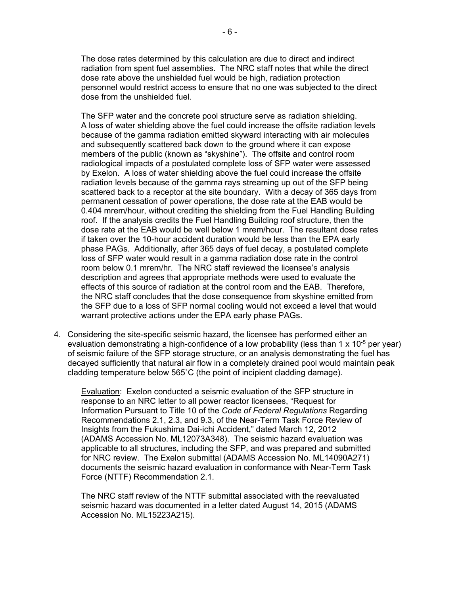The dose rates determined by this calculation are due to direct and indirect radiation from spent fuel assemblies. The NRC staff notes that while the direct dose rate above the unshielded fuel would be high, radiation protection personnel would restrict access to ensure that no one was subjected to the direct dose from the unshielded fuel.

The SFP water and the concrete pool structure serve as radiation shielding. A loss of water shielding above the fuel could increase the offsite radiation levels because of the gamma radiation emitted skyward interacting with air molecules and subsequently scattered back down to the ground where it can expose members of the public (known as "skyshine"). The offsite and control room radiological impacts of a postulated complete loss of SFP water were assessed by Exelon. A loss of water shielding above the fuel could increase the offsite radiation levels because of the gamma rays streaming up out of the SFP being scattered back to a receptor at the site boundary. With a decay of 365 days from permanent cessation of power operations, the dose rate at the EAB would be 0.404 mrem/hour, without crediting the shielding from the Fuel Handling Building roof. If the analysis credits the Fuel Handling Building roof structure, then the dose rate at the EAB would be well below 1 mrem/hour. The resultant dose rates if taken over the 10-hour accident duration would be less than the EPA early phase PAGs. Additionally, after 365 days of fuel decay, a postulated complete loss of SFP water would result in a gamma radiation dose rate in the control room below 0.1 mrem/hr. The NRC staff reviewed the licensee's analysis description and agrees that appropriate methods were used to evaluate the effects of this source of radiation at the control room and the EAB. Therefore, the NRC staff concludes that the dose consequence from skyshine emitted from the SFP due to a loss of SFP normal cooling would not exceed a level that would warrant protective actions under the EPA early phase PAGs.

4. Considering the site-specific seismic hazard, the licensee has performed either an evaluation demonstrating a high-confidence of a low probability (less than 1 x 10<sup>-5</sup> per year) of seismic failure of the SFP storage structure, or an analysis demonstrating the fuel has decayed sufficiently that natural air flow in a completely drained pool would maintain peak cladding temperature below 565˚C (the point of incipient cladding damage).

Evaluation: Exelon conducted a seismic evaluation of the SFP structure in response to an NRC letter to all power reactor licensees, "Request for Information Pursuant to Title 10 of the *Code of Federal Regulations* Regarding Recommendations 2.1, 2.3, and 9.3, of the Near-Term Task Force Review of Insights from the Fukushima Dai-ichi Accident," dated March 12, 2012 (ADAMS Accession No. ML12073A348). The seismic hazard evaluation was applicable to all structures, including the SFP, and was prepared and submitted for NRC review. The Exelon submittal (ADAMS Accession No. ML14090A271) documents the seismic hazard evaluation in conformance with Near-Term Task Force (NTTF) Recommendation 2.1.

The NRC staff review of the NTTF submittal associated with the reevaluated seismic hazard was documented in a letter dated August 14, 2015 (ADAMS Accession No. ML15223A215).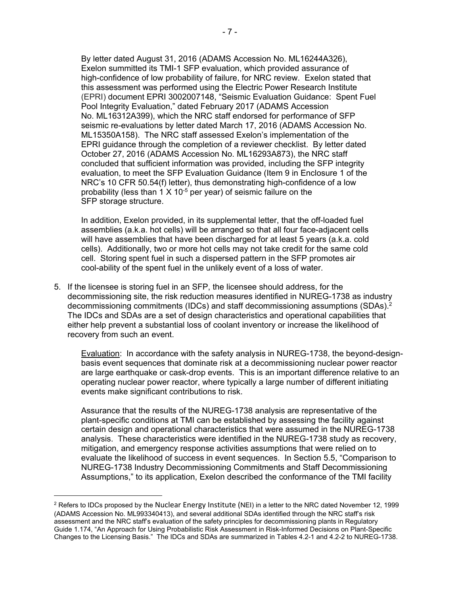By letter dated August 31, 2016 (ADAMS Accession No. ML16244A326), Exelon summitted its TMI-1 SFP evaluation, which provided assurance of high-confidence of low probability of failure, for NRC review. Exelon stated that this assessment was performed using the Electric Power Research Institute (EPRI) document EPRI 3002007148, "Seismic Evaluation Guidance: Spent Fuel Pool Integrity Evaluation," dated February 2017 (ADAMS Accession No. ML16312A399), which the NRC staff endorsed for performance of SFP seismic re-evaluations by letter dated March 17, 2016 (ADAMS Accession No. ML15350A158). The NRC staff assessed Exelon's implementation of the EPRI guidance through the completion of a reviewer checklist. By letter dated October 27, 2016 (ADAMS Accession No. ML16293A873), the NRC staff concluded that sufficient information was provided, including the SFP integrity evaluation, to meet the SFP Evaluation Guidance (Item 9 in Enclosure 1 of the NRC's 10 CFR 50.54(f) letter), thus demonstrating high-confidence of a low probability (less than  $1 \times 10^{-5}$  per year) of seismic failure on the SFP storage structure.

In addition, Exelon provided, in its supplemental letter, that the off-loaded fuel assemblies (a.k.a. hot cells) will be arranged so that all four face-adjacent cells will have assemblies that have been discharged for at least 5 years (a.k.a. cold cells). Additionally, two or more hot cells may not take credit for the same cold cell. Storing spent fuel in such a dispersed pattern in the SFP promotes air cool-ability of the spent fuel in the unlikely event of a loss of water.

5. If the licensee is storing fuel in an SFP, the licensee should address, for the decommissioning site, the risk reduction measures identified in NUREG-1738 as industry decommissioning commitments (IDCs) and staff decommissioning assumptions (SDAs).2 The IDCs and SDAs are a set of design characteristics and operational capabilities that either help prevent a substantial loss of coolant inventory or increase the likelihood of recovery from such an event.

Evaluation: In accordance with the safety analysis in NUREG-1738, the beyond-designbasis event sequences that dominate risk at a decommissioning nuclear power reactor are large earthquake or cask-drop events. This is an important difference relative to an operating nuclear power reactor, where typically a large number of different initiating events make significant contributions to risk.

Assurance that the results of the NUREG-1738 analysis are representative of the plant-specific conditions at TMI can be established by assessing the facility against certain design and operational characteristics that were assumed in the NUREG-1738 analysis. These characteristics were identified in the NUREG-1738 study as recovery, mitigation, and emergency response activities assumptions that were relied on to evaluate the likelihood of success in event sequences. In Section 5.5, "Comparison to NUREG-1738 Industry Decommissioning Commitments and Staff Decommissioning Assumptions," to its application, Exelon described the conformance of the TMI facility

 $\overline{a}$ 

<sup>&</sup>lt;sup>2</sup> Refers to IDCs proposed by the Nuclear Energy Institute (NEI) in a letter to the NRC dated November 12, 1999 (ADAMS Accession No. ML993340413), and several additional SDAs identified through the NRC staff's risk assessment and the NRC staff's evaluation of the safety principles for decommissioning plants in Regulatory Guide 1.174, "An Approach for Using Probabilistic Risk Assessment in Risk-Informed Decisions on Plant-Specific Changes to the Licensing Basis." The IDCs and SDAs are summarized in Tables 4.2-1 and 4.2-2 to NUREG-1738.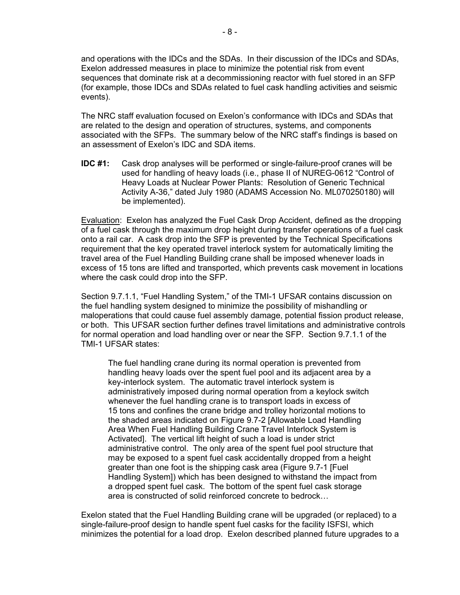and operations with the IDCs and the SDAs. In their discussion of the IDCs and SDAs, Exelon addressed measures in place to minimize the potential risk from event sequences that dominate risk at a decommissioning reactor with fuel stored in an SFP (for example, those IDCs and SDAs related to fuel cask handling activities and seismic events).

The NRC staff evaluation focused on Exelon's conformance with IDCs and SDAs that are related to the design and operation of structures, systems, and components associated with the SFPs. The summary below of the NRC staff's findings is based on an assessment of Exelon's IDC and SDA items.

**IDC #1:** Cask drop analyses will be performed or single-failure-proof cranes will be used for handling of heavy loads (i.e., phase II of NUREG-0612 "Control of Heavy Loads at Nuclear Power Plants: Resolution of Generic Technical Activity A-36," dated July 1980 (ADAMS Accession No. ML070250180) will be implemented).

Evaluation: Exelon has analyzed the Fuel Cask Drop Accident, defined as the dropping of a fuel cask through the maximum drop height during transfer operations of a fuel cask onto a rail car. A cask drop into the SFP is prevented by the Technical Specifications requirement that the key operated travel interlock system for automatically limiting the travel area of the Fuel Handling Building crane shall be imposed whenever loads in excess of 15 tons are lifted and transported, which prevents cask movement in locations where the cask could drop into the SFP.

Section 9.7.1.1, "Fuel Handling System," of the TMI-1 UFSAR contains discussion on the fuel handling system designed to minimize the possibility of mishandling or maloperations that could cause fuel assembly damage, potential fission product release, or both. This UFSAR section further defines travel limitations and administrative controls for normal operation and load handling over or near the SFP. Section 9.7.1.1 of the TMI-1 UFSAR states:

The fuel handling crane during its normal operation is prevented from handling heavy loads over the spent fuel pool and its adjacent area by a key-interlock system. The automatic travel interlock system is administratively imposed during normal operation from a keylock switch whenever the fuel handling crane is to transport loads in excess of 15 tons and confines the crane bridge and trolley horizontal motions to the shaded areas indicated on Figure 9.7-2 [Allowable Load Handling Area When Fuel Handling Building Crane Travel Interlock System is Activated]. The vertical lift height of such a load is under strict administrative control. The only area of the spent fuel pool structure that may be exposed to a spent fuel cask accidentally dropped from a height greater than one foot is the shipping cask area (Figure 9.7-1 [Fuel Handling System]) which has been designed to withstand the impact from a dropped spent fuel cask. The bottom of the spent fuel cask storage area is constructed of solid reinforced concrete to bedrock…

Exelon stated that the Fuel Handling Building crane will be upgraded (or replaced) to a single-failure-proof design to handle spent fuel casks for the facility ISFSI, which minimizes the potential for a load drop. Exelon described planned future upgrades to a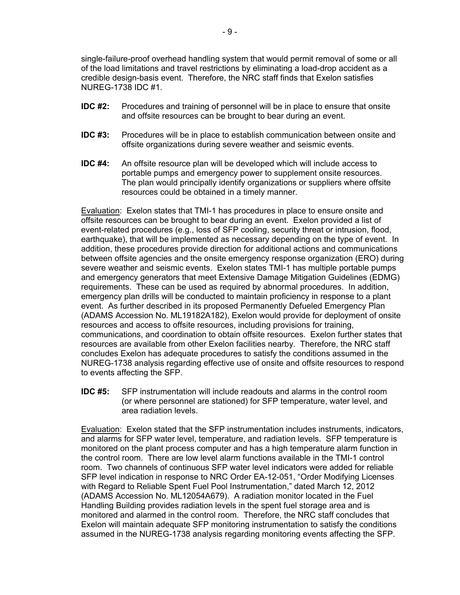single-failure-proof overhead handling system that would permit removal of some or all of the load limitations and travel restrictions by eliminating a load-drop accident as a credible design-basis event. Therefore, the NRC staff finds that Exelon satisfies NUREG-1738 IDC #1.

- **IDC #2:** Procedures and training of personnel will be in place to ensure that onsite and offsite resources can be brought to bear during an event.
- **IDC #3:** Procedures will be in place to establish communication between onsite and offsite organizations during severe weather and seismic events.
- **IDC #4:** An offsite resource plan will be developed which will include access to portable pumps and emergency power to supplement onsite resources. The plan would principally identify organizations or suppliers where offsite resources could be obtained in a timely manner.

Evaluation: Exelon states that TMI-1 has procedures in place to ensure onsite and offsite resources can be brought to bear during an event. Exelon provided a list of event-related procedures (e.g., loss of SFP cooling, security threat or intrusion, flood, earthquake), that will be implemented as necessary depending on the type of event. In addition, these procedures provide direction for additional actions and communications between offsite agencies and the onsite emergency response organization (ERO) during severe weather and seismic events. Exelon states TMI-1 has multiple portable pumps and emergency generators that meet Extensive Damage Mitigation Guidelines (EDMG) requirements. These can be used as required by abnormal procedures. In addition, emergency plan drills will be conducted to maintain proficiency in response to a plant event. As further described in its proposed Permanently Defueled Emergency Plan (ADAMS Accession No. ML19182A182), Exelon would provide for deployment of onsite resources and access to offsite resources, including provisions for training, communications, and coordination to obtain offsite resources. Exelon further states that resources are available from other Exelon facilities nearby. Therefore, the NRC staff concludes Exelon has adequate procedures to satisfy the conditions assumed in the NUREG-1738 analysis regarding effective use of onsite and offsite resources to respond to events affecting the SFP.

**IDC #5:** SFP instrumentation will include readouts and alarms in the control room (or where personnel are stationed) for SFP temperature, water level, and area radiation levels.

Evaluation: Exelon stated that the SFP instrumentation includes instruments, indicators, and alarms for SFP water level, temperature, and radiation levels. SFP temperature is monitored on the plant process computer and has a high temperature alarm function in the control room. There are low level alarm functions available in the TMI-1 control room. Two channels of continuous SFP water level indicators were added for reliable SFP level indication in response to NRC Order EA-12-051, "Order Modifying Licenses with Regard to Reliable Spent Fuel Pool Instrumentation," dated March 12, 2012 (ADAMS Accession No. ML12054A679). A radiation monitor located in the Fuel Handling Building provides radiation levels in the spent fuel storage area and is monitored and alarmed in the control room. Therefore, the NRC staff concludes that Exelon will maintain adequate SFP monitoring instrumentation to satisfy the conditions assumed in the NUREG-1738 analysis regarding monitoring events affecting the SFP.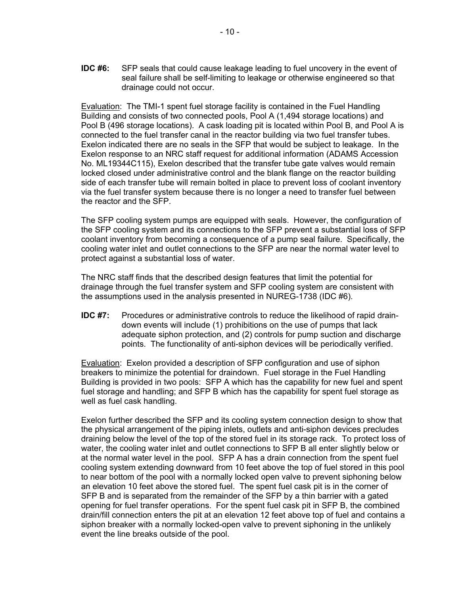**IDC #6:** SFP seals that could cause leakage leading to fuel uncovery in the event of seal failure shall be self-limiting to leakage or otherwise engineered so that drainage could not occur.

Evaluation: The TMI-1 spent fuel storage facility is contained in the Fuel Handling Building and consists of two connected pools, Pool A (1,494 storage locations) and Pool B (496 storage locations). A cask loading pit is located within Pool B, and Pool A is connected to the fuel transfer canal in the reactor building via two fuel transfer tubes. Exelon indicated there are no seals in the SFP that would be subject to leakage. In the Exelon response to an NRC staff request for additional information (ADAMS Accession No. ML19344C115), Exelon described that the transfer tube gate valves would remain locked closed under administrative control and the blank flange on the reactor building side of each transfer tube will remain bolted in place to prevent loss of coolant inventory via the fuel transfer system because there is no longer a need to transfer fuel between the reactor and the SFP.

The SFP cooling system pumps are equipped with seals. However, the configuration of the SFP cooling system and its connections to the SFP prevent a substantial loss of SFP coolant inventory from becoming a consequence of a pump seal failure. Specifically, the cooling water inlet and outlet connections to the SFP are near the normal water level to protect against a substantial loss of water.

The NRC staff finds that the described design features that limit the potential for drainage through the fuel transfer system and SFP cooling system are consistent with the assumptions used in the analysis presented in NUREG-1738 (IDC #6).

**IDC #7:** Procedures or administrative controls to reduce the likelihood of rapid draindown events will include (1) prohibitions on the use of pumps that lack adequate siphon protection, and (2) controls for pump suction and discharge points. The functionality of anti-siphon devices will be periodically verified.

Evaluation: Exelon provided a description of SFP configuration and use of siphon breakers to minimize the potential for draindown. Fuel storage in the Fuel Handling Building is provided in two pools: SFP A which has the capability for new fuel and spent fuel storage and handling; and SFP B which has the capability for spent fuel storage as well as fuel cask handling.

Exelon further described the SFP and its cooling system connection design to show that the physical arrangement of the piping inlets, outlets and anti-siphon devices precludes draining below the level of the top of the stored fuel in its storage rack. To protect loss of water, the cooling water inlet and outlet connections to SFP B all enter slightly below or at the normal water level in the pool. SFP A has a drain connection from the spent fuel cooling system extending downward from 10 feet above the top of fuel stored in this pool to near bottom of the pool with a normally locked open valve to prevent siphoning below an elevation 10 feet above the stored fuel. The spent fuel cask pit is in the corner of SFP B and is separated from the remainder of the SFP by a thin barrier with a gated opening for fuel transfer operations. For the spent fuel cask pit in SFP B, the combined drain/fill connection enters the pit at an elevation 12 feet above top of fuel and contains a siphon breaker with a normally locked-open valve to prevent siphoning in the unlikely event the line breaks outside of the pool.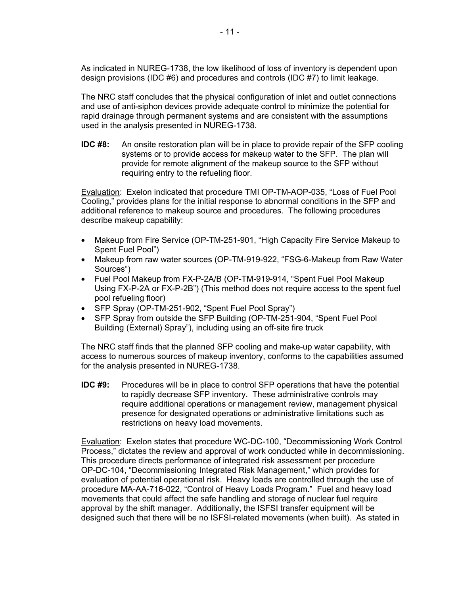As indicated in NUREG-1738, the low likelihood of loss of inventory is dependent upon design provisions (IDC #6) and procedures and controls (IDC #7) to limit leakage.

The NRC staff concludes that the physical configuration of inlet and outlet connections and use of anti-siphon devices provide adequate control to minimize the potential for rapid drainage through permanent systems and are consistent with the assumptions used in the analysis presented in NUREG-1738.

**IDC #8:** An onsite restoration plan will be in place to provide repair of the SFP cooling systems or to provide access for makeup water to the SFP. The plan will provide for remote alignment of the makeup source to the SFP without requiring entry to the refueling floor.

Evaluation: Exelon indicated that procedure TMI OP-TM-AOP-035, "Loss of Fuel Pool Cooling," provides plans for the initial response to abnormal conditions in the SFP and additional reference to makeup source and procedures. The following procedures describe makeup capability:

- Makeup from Fire Service (OP-TM-251-901, "High Capacity Fire Service Makeup to Spent Fuel Pool")
- Makeup from raw water sources (OP-TM-919-922, "FSG-6-Makeup from Raw Water Sources")
- Fuel Pool Makeup from FX-P-2A/B (OP-TM-919-914, "Spent Fuel Pool Makeup Using FX-P-2A or FX-P-2B") (This method does not require access to the spent fuel pool refueling floor)
- SFP Spray (OP-TM-251-902, "Spent Fuel Pool Spray")
- SFP Spray from outside the SFP Building (OP-TM-251-904, "Spent Fuel Pool Building (External) Spray"), including using an off-site fire truck

The NRC staff finds that the planned SFP cooling and make-up water capability, with access to numerous sources of makeup inventory, conforms to the capabilities assumed for the analysis presented in NUREG-1738.

**IDC #9:** Procedures will be in place to control SFP operations that have the potential to rapidly decrease SFP inventory. These administrative controls may require additional operations or management review, management physical presence for designated operations or administrative limitations such as restrictions on heavy load movements.

Evaluation: Exelon states that procedure WC-DC-100, "Decommissioning Work Control Process," dictates the review and approval of work conducted while in decommissioning. This procedure directs performance of integrated risk assessment per procedure OP-DC-104, "Decommissioning Integrated Risk Management," which provides for evaluation of potential operational risk. Heavy loads are controlled through the use of procedure MA-AA-716-022, "Control of Heavy Loads Program." Fuel and heavy load movements that could affect the safe handling and storage of nuclear fuel require approval by the shift manager. Additionally, the ISFSI transfer equipment will be designed such that there will be no ISFSI-related movements (when built). As stated in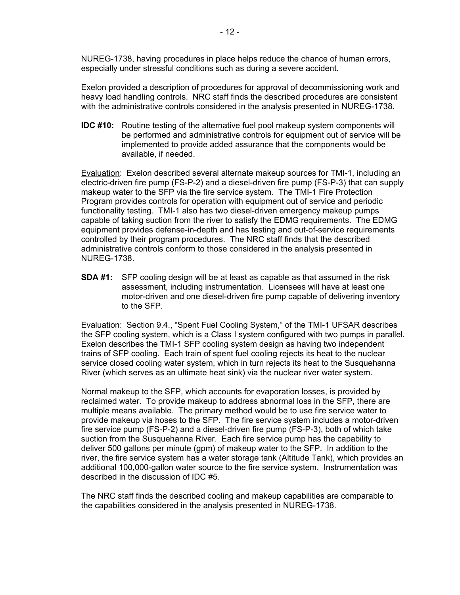NUREG-1738, having procedures in place helps reduce the chance of human errors, especially under stressful conditions such as during a severe accident.

Exelon provided a description of procedures for approval of decommissioning work and heavy load handling controls. NRC staff finds the described procedures are consistent with the administrative controls considered in the analysis presented in NUREG-1738.

**IDC #10:** Routine testing of the alternative fuel pool makeup system components will be performed and administrative controls for equipment out of service will be implemented to provide added assurance that the components would be available, if needed.

Evaluation: Exelon described several alternate makeup sources for TMI-1, including an electric-driven fire pump (FS-P-2) and a diesel-driven fire pump (FS-P-3) that can supply makeup water to the SFP via the fire service system. The TMI-1 Fire Protection Program provides controls for operation with equipment out of service and periodic functionality testing. TMI-1 also has two diesel-driven emergency makeup pumps capable of taking suction from the river to satisfy the EDMG requirements. The EDMG equipment provides defense-in-depth and has testing and out-of-service requirements controlled by their program procedures. The NRC staff finds that the described administrative controls conform to those considered in the analysis presented in NUREG-1738.

**SDA #1:** SFP cooling design will be at least as capable as that assumed in the risk assessment, including instrumentation. Licensees will have at least one motor-driven and one diesel-driven fire pump capable of delivering inventory to the SFP.

Evaluation: Section 9.4., "Spent Fuel Cooling System," of the TMI-1 UFSAR describes the SFP cooling system, which is a Class I system configured with two pumps in parallel. Exelon describes the TMI-1 SFP cooling system design as having two independent trains of SFP cooling. Each train of spent fuel cooling rejects its heat to the nuclear service closed cooling water system, which in turn rejects its heat to the Susquehanna River (which serves as an ultimate heat sink) via the nuclear river water system.

Normal makeup to the SFP, which accounts for evaporation losses, is provided by reclaimed water. To provide makeup to address abnormal loss in the SFP, there are multiple means available. The primary method would be to use fire service water to provide makeup via hoses to the SFP. The fire service system includes a motor-driven fire service pump (FS-P-2) and a diesel-driven fire pump (FS-P-3), both of which take suction from the Susquehanna River. Each fire service pump has the capability to deliver 500 gallons per minute (gpm) of makeup water to the SFP. In addition to the river, the fire service system has a water storage tank (Altitude Tank), which provides an additional 100,000-gallon water source to the fire service system. Instrumentation was described in the discussion of IDC #5.

The NRC staff finds the described cooling and makeup capabilities are comparable to the capabilities considered in the analysis presented in NUREG-1738.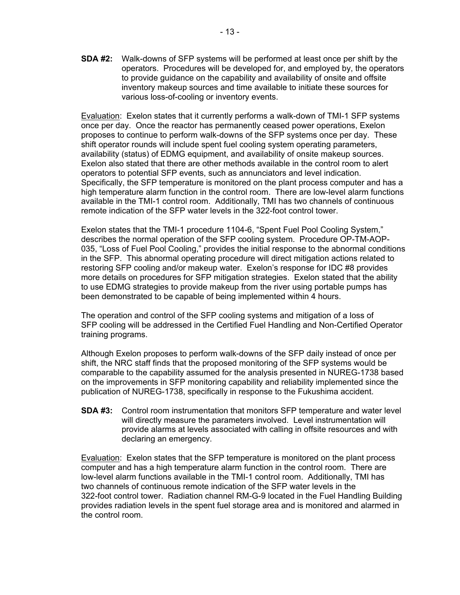**SDA #2:** Walk-downs of SFP systems will be performed at least once per shift by the operators. Procedures will be developed for, and employed by, the operators to provide guidance on the capability and availability of onsite and offsite inventory makeup sources and time available to initiate these sources for various loss-of-cooling or inventory events.

Evaluation: Exelon states that it currently performs a walk-down of TMI-1 SFP systems once per day. Once the reactor has permanently ceased power operations, Exelon proposes to continue to perform walk-downs of the SFP systems once per day. These shift operator rounds will include spent fuel cooling system operating parameters, availability (status) of EDMG equipment, and availability of onsite makeup sources. Exelon also stated that there are other methods available in the control room to alert operators to potential SFP events, such as annunciators and level indication. Specifically, the SFP temperature is monitored on the plant process computer and has a high temperature alarm function in the control room. There are low-level alarm functions available in the TMI-1 control room. Additionally, TMI has two channels of continuous remote indication of the SFP water levels in the 322-foot control tower.

Exelon states that the TMI-1 procedure 1104-6, "Spent Fuel Pool Cooling System," describes the normal operation of the SFP cooling system. Procedure OP-TM-AOP-035, "Loss of Fuel Pool Cooling," provides the initial response to the abnormal conditions in the SFP. This abnormal operating procedure will direct mitigation actions related to restoring SFP cooling and/or makeup water. Exelon's response for IDC #8 provides more details on procedures for SFP mitigation strategies. Exelon stated that the ability to use EDMG strategies to provide makeup from the river using portable pumps has been demonstrated to be capable of being implemented within 4 hours.

The operation and control of the SFP cooling systems and mitigation of a loss of SFP cooling will be addressed in the Certified Fuel Handling and Non-Certified Operator training programs.

Although Exelon proposes to perform walk-downs of the SFP daily instead of once per shift, the NRC staff finds that the proposed monitoring of the SFP systems would be comparable to the capability assumed for the analysis presented in NUREG-1738 based on the improvements in SFP monitoring capability and reliability implemented since the publication of NUREG-1738, specifically in response to the Fukushima accident.

**SDA #3:** Control room instrumentation that monitors SFP temperature and water level will directly measure the parameters involved. Level instrumentation will provide alarms at levels associated with calling in offsite resources and with declaring an emergency.

Evaluation: Exelon states that the SFP temperature is monitored on the plant process computer and has a high temperature alarm function in the control room. There are low-level alarm functions available in the TMI-1 control room. Additionally, TMI has two channels of continuous remote indication of the SFP water levels in the 322-foot control tower. Radiation channel RM-G-9 located in the Fuel Handling Building provides radiation levels in the spent fuel storage area and is monitored and alarmed in the control room.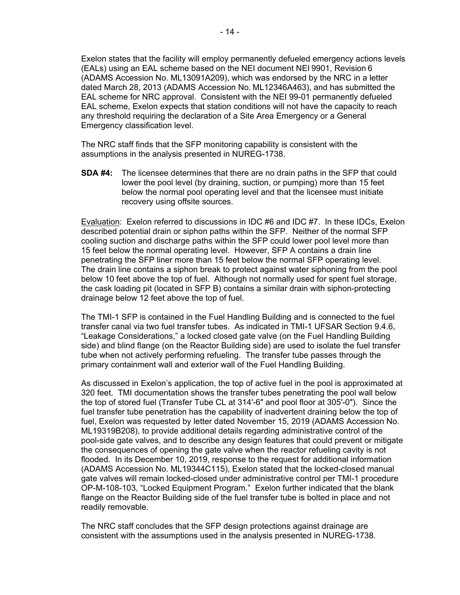Exelon states that the facility will employ permanently defueled emergency actions levels (EALs) using an EAL scheme based on the NEI document NEI 9901, Revision 6 (ADAMS Accession No. ML13091A209), which was endorsed by the NRC in a letter dated March 28, 2013 (ADAMS Accession No. ML12346A463), and has submitted the EAL scheme for NRC approval. Consistent with the NEI 99-01 permanently defueled EAL scheme, Exelon expects that station conditions will not have the capacity to reach any threshold requiring the declaration of a Site Area Emergency or a General Emergency classification level.

The NRC staff finds that the SFP monitoring capability is consistent with the assumptions in the analysis presented in NUREG-1738.

**SDA #4:** The licensee determines that there are no drain paths in the SFP that could lower the pool level (by draining, suction, or pumping) more than 15 feet below the normal pool operating level and that the licensee must initiate recovery using offsite sources.

Evaluation: Exelon referred to discussions in IDC #6 and IDC #7. In these IDCs, Exelon described potential drain or siphon paths within the SFP. Neither of the normal SFP cooling suction and discharge paths within the SFP could lower pool level more than 15 feet below the normal operating level. However, SFP A contains a drain line penetrating the SFP liner more than 15 feet below the normal SFP operating level. The drain line contains a siphon break to protect against water siphoning from the pool below 10 feet above the top of fuel. Although not normally used for spent fuel storage, the cask loading pit (located in SFP B) contains a similar drain with siphon-protecting drainage below 12 feet above the top of fuel.

The TMI-1 SFP is contained in the Fuel Handling Building and is connected to the fuel transfer canal via two fuel transfer tubes. As indicated in TMI-1 UFSAR Section 9.4.6, "Leakage Considerations," a locked closed gate valve (on the Fuel Handling Building side) and blind flange (on the Reactor Building side) are used to isolate the fuel transfer tube when not actively performing refueling. The transfer tube passes through the primary containment wall and exterior wall of the Fuel Handling Building.

As discussed in Exelon's application, the top of active fuel in the pool is approximated at 320 feet. TMI documentation shows the transfer tubes penetrating the pool wall below the top of stored fuel (Transfer Tube CL at 314′-6″ and pool floor at 305′-0″). Since the fuel transfer tube penetration has the capability of inadvertent draining below the top of fuel, Exelon was requested by letter dated November 15, 2019 (ADAMS Accession No. ML19319B208), to provide additional details regarding administrative control of the pool-side gate valves, and to describe any design features that could prevent or mitigate the consequences of opening the gate valve when the reactor refueling cavity is not flooded. In its December 10, 2019, response to the request for additional information (ADAMS Accession No. ML19344C115), Exelon stated that the locked-closed manual gate valves will remain locked-closed under administrative control per TMI-1 procedure OP-M-108-103, "Locked Equipment Program." Exelon further indicated that the blank flange on the Reactor Building side of the fuel transfer tube is bolted in place and not readily removable.

The NRC staff concludes that the SFP design protections against drainage are consistent with the assumptions used in the analysis presented in NUREG-1738.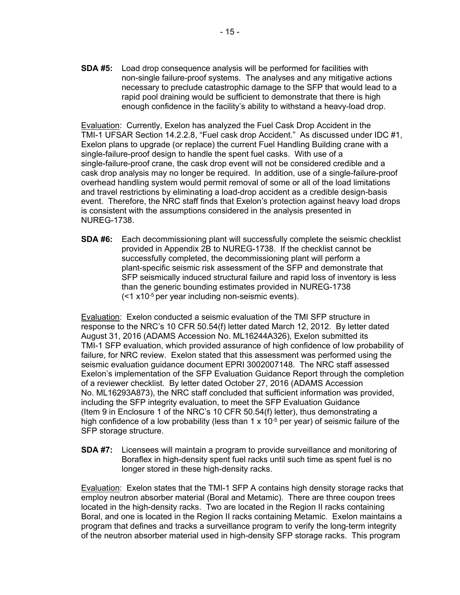**SDA #5:** Load drop consequence analysis will be performed for facilities with non-single failure-proof systems. The analyses and any mitigative actions necessary to preclude catastrophic damage to the SFP that would lead to a rapid pool draining would be sufficient to demonstrate that there is high enough confidence in the facility's ability to withstand a heavy-load drop.

Evaluation: Currently, Exelon has analyzed the Fuel Cask Drop Accident in the TMI-1 UFSAR Section 14.2.2.8, "Fuel cask drop Accident." As discussed under IDC #1, Exelon plans to upgrade (or replace) the current Fuel Handling Building crane with a single-failure-proof design to handle the spent fuel casks. With use of a single-failure-proof crane, the cask drop event will not be considered credible and a cask drop analysis may no longer be required. In addition, use of a single-failure-proof overhead handling system would permit removal of some or all of the load limitations and travel restrictions by eliminating a load-drop accident as a credible design-basis event. Therefore, the NRC staff finds that Exelon's protection against heavy load drops is consistent with the assumptions considered in the analysis presented in NUREG-1738.

**SDA #6:** Each decommissioning plant will successfully complete the seismic checklist provided in Appendix 2B to NUREG-1738. If the checklist cannot be successfully completed, the decommissioning plant will perform a plant-specific seismic risk assessment of the SFP and demonstrate that SFP seismically induced structural failure and rapid loss of inventory is less than the generic bounding estimates provided in NUREG-1738 (<1 x10-5 per year including non-seismic events).

Evaluation: Exelon conducted a seismic evaluation of the TMI SFP structure in response to the NRC's 10 CFR 50.54(f) letter dated March 12, 2012. By letter dated August 31, 2016 (ADAMS Accession No. ML16244A326), Exelon submitted its TMI-1 SFP evaluation, which provided assurance of high confidence of low probability of failure, for NRC review. Exelon stated that this assessment was performed using the seismic evaluation guidance document EPRI 3002007148. The NRC staff assessed Exelon's implementation of the SFP Evaluation Guidance Report through the completion of a reviewer checklist. By letter dated October 27, 2016 (ADAMS Accession No. ML16293A873), the NRC staff concluded that sufficient information was provided, including the SFP integrity evaluation, to meet the SFP Evaluation Guidance (Item 9 in Enclosure 1 of the NRC's 10 CFR 50.54(f) letter), thus demonstrating a high confidence of a low probability (less than 1 x  $10^{-5}$  per year) of seismic failure of the SFP storage structure.

**SDA #7:** Licensees will maintain a program to provide surveillance and monitoring of Boraflex in high-density spent fuel racks until such time as spent fuel is no longer stored in these high-density racks.

Evaluation: Exelon states that the TMI-1 SFP A contains high density storage racks that employ neutron absorber material (Boral and Metamic). There are three coupon trees located in the high-density racks. Two are located in the Region II racks containing Boral, and one is located in the Region II racks containing Metamic. Exelon maintains a program that defines and tracks a surveillance program to verify the long-term integrity of the neutron absorber material used in high-density SFP storage racks. This program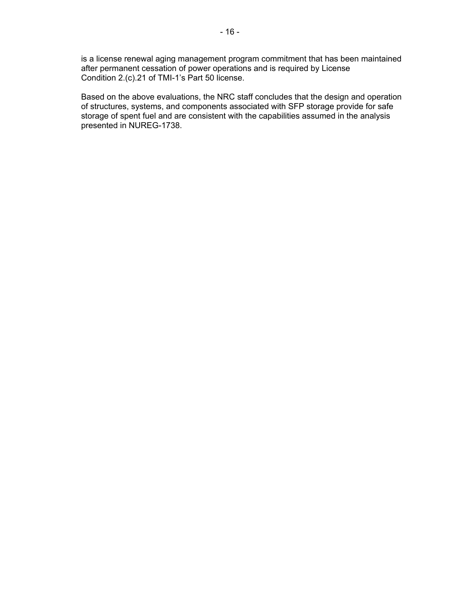is a license renewal aging management program commitment that has been maintained after permanent cessation of power operations and is required by License Condition 2.(c).21 of TMI-1's Part 50 license.

Based on the above evaluations, the NRC staff concludes that the design and operation of structures, systems, and components associated with SFP storage provide for safe storage of spent fuel and are consistent with the capabilities assumed in the analysis presented in NUREG-1738.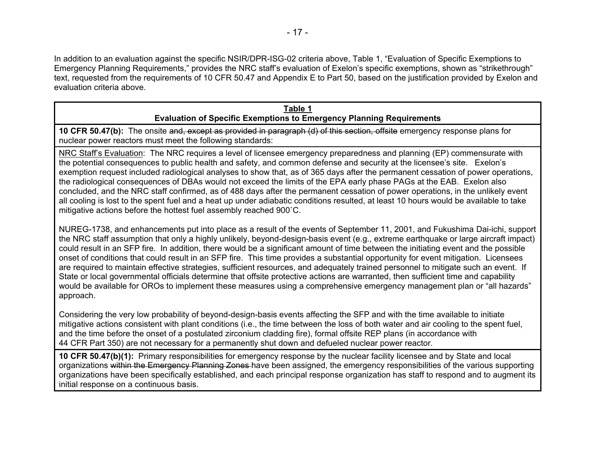In addition to an evaluation against the specific NSIR/DPR-ISG-02 criteria above, Table 1, "Evaluation of Specific Exemptions to Emergency Planning Requirements," provides the NRC staff's evaluation of Exelon's specific exemptions, shown as "strikethrough" text, requested from the requirements of 10 CFR 50.47 and Appendix E to Part 50, based on the justification provided by Exelon and evaluation criteria above.

#### **Table 1 Evaluation of Specific Exemptions to Emergency Planning Requirements**

**10 CFR 50.47(b):** The onsite and, except as provided in paragraph (d) of this section, offsite emergency response plans for nuclear power reactors must meet the following standards:

NRC Staff's Evaluation: The NRC requires a level of licensee emergency preparedness and planning (EP) commensurate with the potential consequences to public health and safety, and common defense and security at the licensee's site. Exelon's exemption request included radiological analyses to show that, as of 365 days after the permanent cessation of power operations, the radiological consequences of DBAs would not exceed the limits of the EPA early phase PAGs at the EAB. Exelon also concluded, and the NRC staff confirmed, as of 488 days after the permanent cessation of power operations, in the unlikely event all cooling is lost to the spent fuel and a heat up under adiabatic conditions resulted, at least 10 hours would be available to take mitigative actions before the hottest fuel assembly reached 900˚C.

NUREG-1738, and enhancements put into place as a result of the events of September 11, 2001, and Fukushima Dai-ichi, support the NRC staff assumption that only a highly unlikely, beyond-design-basis event (e.g., extreme earthquake or large aircraft impact) could result in an SFP fire. In addition, there would be a significant amount of time between the initiating event and the possible onset of conditions that could result in an SFP fire. This time provides a substantial opportunity for event mitigation. Licensees are required to maintain effective strategies, sufficient resources, and adequately trained personnel to mitigate such an event. If State or local governmental officials determine that offsite protective actions are warranted, then sufficient time and capability would be available for OROs to implement these measures using a comprehensive emergency management plan or "all hazards" approach.

Considering the very low probability of beyond-design-basis events affecting the SFP and with the time available to initiate mitigative actions consistent with plant conditions (i.e., the time between the loss of both water and air cooling to the spent fuel, and the time before the onset of a postulated zirconium cladding fire), formal offsite REP plans (in accordance with 44 CFR Part 350) are not necessary for a permanently shut down and defueled nuclear power reactor.

**10 CFR 50.47(b)(1):** Primary responsibilities for emergency response by the nuclear facility licensee and by State and local organizations within the Emergency Planning Zones have been assigned, the emergency responsibilities of the various supporting organizations have been specifically established, and each principal response organization has staff to respond and to augment its initial response on a continuous basis.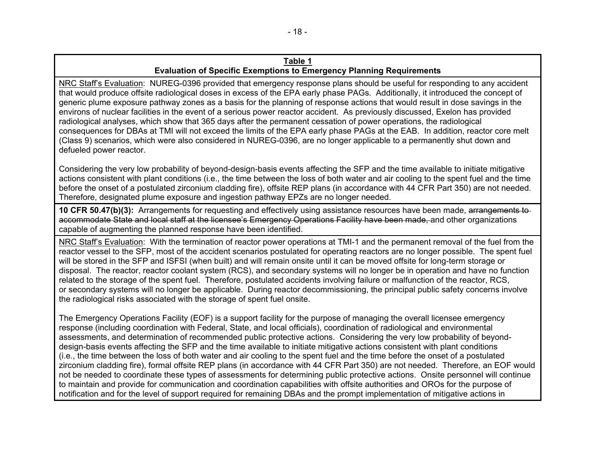NRC Staff's Evaluation: NUREG-0396 provided that emergency response plans should be useful for responding to any accident that would produce offsite radiological doses in excess of the EPA early phase PAGs. Additionally, it introduced the concept of generic plume exposure pathway zones as a basis for the planning of response actions that would result in dose savings in the environs of nuclear facilities in the event of a serious power reactor accident. As previously discussed, Exelon has provided radiological analyses, which show that 365 days after the permanent cessation of power operations, the radiological consequences for DBAs at TMI will not exceed the limits of the EPA early phase PAGs at the EAB. In addition, reactor core melt (Class 9) scenarios, which were also considered in NUREG-0396, are no longer applicable to a permanently shut down and defueled power reactor.

Considering the very low probability of beyond-design-basis events affecting the SFP and the time available to initiate mitigative actions consistent with plant conditions (i.e., the time between the loss of both water and air cooling to the spent fuel and the time before the onset of a postulated zirconium cladding fire), offsite REP plans (in accordance with 44 CFR Part 350) are not needed. Therefore, designated plume exposure and ingestion pathway EPZs are no longer needed.

**10 CFR 50.47(b)(3):** Arrangements for requesting and effectively using assistance resources have been made, arrangements to accommodate State and local staff at the licensee's Emergency Operations Facility have been made, and other organizations capable of augmenting the planned response have been identified.

NRC Staff's Evaluation: With the termination of reactor power operations at TMI-1 and the permanent removal of the fuel from the reactor vessel to the SFP, most of the accident scenarios postulated for operating reactors are no longer possible. The spent fuel will be stored in the SFP and ISFSI (when built) and will remain onsite until it can be moved offsite for long-term storage or disposal. The reactor, reactor coolant system (RCS), and secondary systems will no longer be in operation and have no function related to the storage of the spent fuel. Therefore, postulated accidents involving failure or malfunction of the reactor, RCS, or secondary systems will no longer be applicable. During reactor decommissioning, the principal public safety concerns involve the radiological risks associated with the storage of spent fuel onsite.

The Emergency Operations Facility (EOF) is a support facility for the purpose of managing the overall licensee emergency response (including coordination with Federal, State, and local officials), coordination of radiological and environmental assessments, and determination of recommended public protective actions. Considering the very low probability of beyonddesign-basis events affecting the SFP and the time available to initiate mitigative actions consistent with plant conditions (i.e., the time between the loss of both water and air cooling to the spent fuel and the time before the onset of a postulated zirconium cladding fire), formal offsite REP plans (in accordance with 44 CFR Part 350) are not needed. Therefore, an EOF would not be needed to coordinate these types of assessments for determining public protective actions. Onsite personnel will continue to maintain and provide for communication and coordination capabilities with offsite authorities and OROs for the purpose of notification and for the level of support required for remaining DBAs and the prompt implementation of mitigative actions in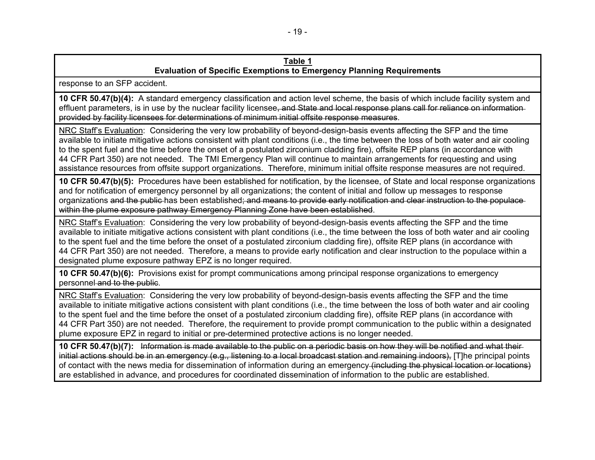response to an SFP accident.

**10 CFR 50.47(b)(4):** A standard emergency classification and action level scheme, the basis of which include facility system and effluent parameters, is in use by the nuclear facility licensee, and State and local response plans call for reliance on information provided by facility licensees for determinations of minimum initial offsite response measures.

NRC Staff's Evaluation: Considering the very low probability of beyond-design-basis events affecting the SFP and the time available to initiate mitigative actions consistent with plant conditions (i.e., the time between the loss of both water and air cooling to the spent fuel and the time before the onset of a postulated zirconium cladding fire), offsite REP plans (in accordance with 44 CFR Part 350) are not needed. The TMI Emergency Plan will continue to maintain arrangements for requesting and using assistance resources from offsite support organizations. Therefore, minimum initial offsite response measures are not required.

**10 CFR 50.47(b)(5):** Procedures have been established for notification, by the licensee, of State and local response organizations and for notification of emergency personnel by all organizations; the content of initial and follow up messages to response organizations and the public has been established; and means to provide early notification and clear instruction to the populace within the plume exposure pathway Emergency Planning Zone have been established.

NRC Staff's Evaluation: Considering the very low probability of beyond-design-basis events affecting the SFP and the time available to initiate mitigative actions consistent with plant conditions (i.e., the time between the loss of both water and air cooling to the spent fuel and the time before the onset of a postulated zirconium cladding fire), offsite REP plans (in accordance with 44 CFR Part 350) are not needed. Therefore, a means to provide early notification and clear instruction to the populace within a designated plume exposure pathway EPZ is no longer required.

**10 CFR 50.47(b)(6):** Provisions exist for prompt communications among principal response organizations to emergency personnel and to the public.

NRC Staff's Evaluation: Considering the very low probability of beyond-design-basis events affecting the SFP and the time available to initiate mitigative actions consistent with plant conditions (i.e., the time between the loss of both water and air cooling to the spent fuel and the time before the onset of a postulated zirconium cladding fire), offsite REP plans (in accordance with 44 CFR Part 350) are not needed. Therefore, the requirement to provide prompt communication to the public within a designated plume exposure EPZ in regard to initial or pre-determined protective actions is no longer needed.

**10 CFR 50.47(b)(7):** Information is made available to the public on a periodic basis on how they will be notified and what their initial actions should be in an emergency (e.g., listening to a local broadcast station and remaining indoors), [T]he principal points of contact with the news media for dissemination of information during an emergency (including the physical location or locations) are established in advance, and procedures for coordinated dissemination of information to the public are established.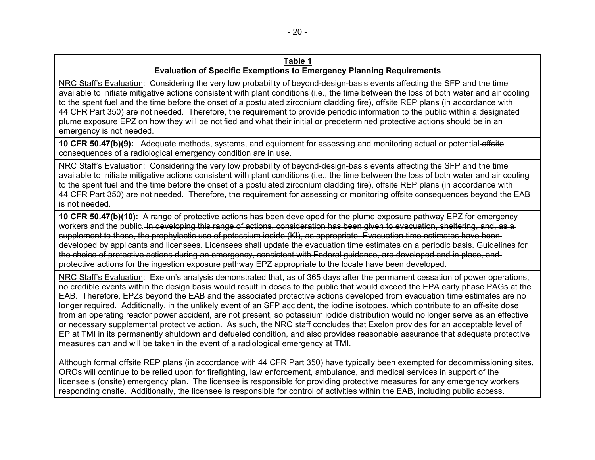NRC Staff's Evaluation: Considering the very low probability of beyond-design-basis events affecting the SFP and the time available to initiate mitigative actions consistent with plant conditions (i.e., the time between the loss of both water and air cooling to the spent fuel and the time before the onset of a postulated zirconium cladding fire), offsite REP plans (in accordance with 44 CFR Part 350) are not needed. Therefore, the requirement to provide periodic information to the public within a designated plume exposure EPZ on how they will be notified and what their initial or predetermined protective actions should be in an emergency is not needed.

**10 CFR 50.47(b)(9):** Adequate methods, systems, and equipment for assessing and monitoring actual or potential offsite consequences of a radiological emergency condition are in use.

NRC Staff's Evaluation: Considering the very low probability of beyond-design-basis events affecting the SFP and the time available to initiate mitigative actions consistent with plant conditions (i.e., the time between the loss of both water and air cooling to the spent fuel and the time before the onset of a postulated zirconium cladding fire), offsite REP plans (in accordance with 44 CFR Part 350) are not needed. Therefore, the requirement for assessing or monitoring offsite consequences beyond the EAB is not needed.

**10 CFR 50.47(b)(10):** A range of protective actions has been developed for the plume exposure pathway EPZ for emergency workers and the public. In developing this range of actions, consideration has been given to evacuation, sheltering, and, as a supplement to these, the prophylactic use of potassium iodide (KI), as appropriate. Evacuation time estimates have beendeveloped by applicants and licensees. Licensees shall update the evacuation time estimates on a periodic basis. Guidelines for the choice of protective actions during an emergency, consistent with Federal guidance, are developed and in place, and protective actions for the ingestion exposure pathway EPZ appropriate to the locale have been developed.

NRC Staff's Evaluation: Exelon's analysis demonstrated that, as of 365 days after the permanent cessation of power operations, no credible events within the design basis would result in doses to the public that would exceed the EPA early phase PAGs at the EAB. Therefore, EPZs beyond the EAB and the associated protective actions developed from evacuation time estimates are no longer required. Additionally, in the unlikely event of an SFP accident, the iodine isotopes, which contribute to an off-site dose from an operating reactor power accident, are not present, so potassium iodide distribution would no longer serve as an effective or necessary supplemental protective action. As such, the NRC staff concludes that Exelon provides for an acceptable level of EP at TMI in its permanently shutdown and defueled condition, and also provides reasonable assurance that adequate protective measures can and will be taken in the event of a radiological emergency at TMI.

Although formal offsite REP plans (in accordance with 44 CFR Part 350) have typically been exempted for decommissioning sites, OROs will continue to be relied upon for firefighting, law enforcement, ambulance, and medical services in support of the licensee's (onsite) emergency plan. The licensee is responsible for providing protective measures for any emergency workers responding onsite. Additionally, the licensee is responsible for control of activities within the EAB, including public access.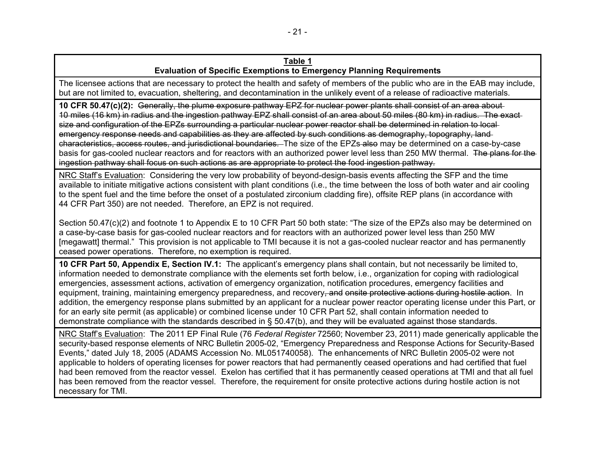The licensee actions that are necessary to protect the health and safety of members of the public who are in the EAB may include, but are not limited to, evacuation, sheltering, and decontamination in the unlikely event of a release of radioactive materials.

**10 CFR 50.47(c)(2):** Generally, the plume exposure pathway EPZ for nuclear power plants shall consist of an area about 10 miles (16 km) in radius and the ingestion pathway EPZ shall consist of an area about 50 miles (80 km) in radius. The exact size and configuration of the EPZs surrounding a particular nuclear power reactor shall be determined in relation to local emergency response needs and capabilities as they are affected by such conditions as demography, topography, land characteristics, access routes, and jurisdictional boundaries. The size of the EPZs also may be determined on a case-by-case basis for gas-cooled nuclear reactors and for reactors with an authorized power level less than 250 MW thermal. The plans for the ingestion pathway shall focus on such actions as are appropriate to protect the food ingestion pathway.

NRC Staff's Evaluation: Considering the very low probability of beyond-design-basis events affecting the SFP and the time available to initiate mitigative actions consistent with plant conditions (i.e., the time between the loss of both water and air cooling to the spent fuel and the time before the onset of a postulated zirconium cladding fire), offsite REP plans (in accordance with 44 CFR Part 350) are not needed. Therefore, an EPZ is not required.

Section 50.47(c)(2) and footnote 1 to Appendix E to 10 CFR Part 50 both state: "The size of the EPZs also may be determined on a case-by-case basis for gas-cooled nuclear reactors and for reactors with an authorized power level less than 250 MW [megawatt] thermal." This provision is not applicable to TMI because it is not a gas-cooled nuclear reactor and has permanently ceased power operations. Therefore, no exemption is required.

**10 CFR Part 50, Appendix E, Section IV.1:** The applicant's emergency plans shall contain, but not necessarily be limited to, information needed to demonstrate compliance with the elements set forth below, i.e., organization for coping with radiological emergencies, assessment actions, activation of emergency organization, notification procedures, emergency facilities and equipment, training, maintaining emergency preparedness, and recovery, and onsite protective actions during hostile action. In addition, the emergency response plans submitted by an applicant for a nuclear power reactor operating license under this Part, or for an early site permit (as applicable) or combined license under 10 CFR Part 52, shall contain information needed to demonstrate compliance with the standards described in § 50.47(b), and they will be evaluated against those standards.

NRC Staff's Evaluation: The 2011 EP Final Rule (76 *Federal Register* 72560; November 23, 2011) made generically applicable the security-based response elements of NRC Bulletin 2005-02, "Emergency Preparedness and Response Actions for Security-Based Events," dated July 18, 2005 (ADAMS Accession No. ML051740058). The enhancements of NRC Bulletin 2005-02 were not applicable to holders of operating licenses for power reactors that had permanently ceased operations and had certified that fuel had been removed from the reactor vessel. Exelon has certified that it has permanently ceased operations at TMI and that all fuel has been removed from the reactor vessel. Therefore, the requirement for onsite protective actions during hostile action is not necessary for TMI.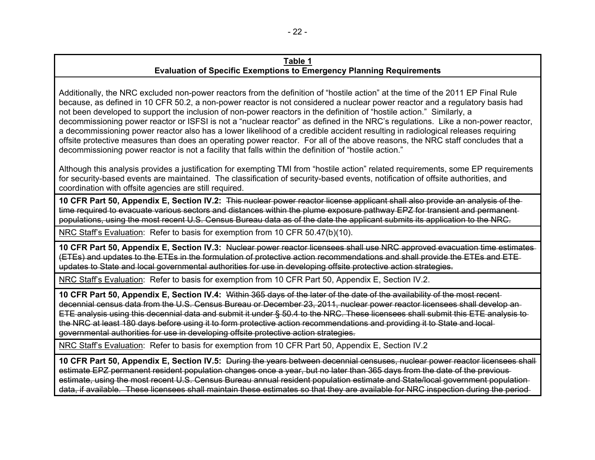Additionally, the NRC excluded non-power reactors from the definition of "hostile action" at the time of the 2011 EP Final Rule because, as defined in 10 CFR 50.2, a non-power reactor is not considered a nuclear power reactor and a regulatory basis had not been developed to support the inclusion of non-power reactors in the definition of "hostile action." Similarly, a decommissioning power reactor or ISFSI is not a "nuclear reactor" as defined in the NRC's regulations. Like a non-power reactor, a decommissioning power reactor also has a lower likelihood of a credible accident resulting in radiological releases requiring offsite protective measures than does an operating power reactor. For all of the above reasons, the NRC staff concludes that a decommissioning power reactor is not a facility that falls within the definition of "hostile action."

Although this analysis provides a justification for exempting TMI from "hostile action" related requirements, some EP requirements for security-based events are maintained. The classification of security-based events, notification of offsite authorities, and coordination with offsite agencies are still required.

**10 CFR Part 50, Appendix E, Section IV.2:** This nuclear power reactor license applicant shall also provide an analysis of the time required to evacuate various sectors and distances within the plume exposure pathway EPZ for transient and permanent populations, using the most recent U.S. Census Bureau data as of the date the applicant submits its application to the NRC.

NRC Staff's Evaluation: Refer to basis for exemption from 10 CFR 50.47(b)(10).

**10 CFR Part 50, Appendix E, Section IV.3:** Nuclear power reactor licensees shall use NRC approved evacuation time estimates (ETEs) and updates to the ETEs in the formulation of protective action recommendations and shall provide the ETEs and ETE updates to State and local governmental authorities for use in developing offsite protective action strategies.

NRC Staff's Evaluation: Refer to basis for exemption from 10 CFR Part 50, Appendix E, Section IV.2.

**10 CFR Part 50, Appendix E, Section IV.4:** Within 365 days of the later of the date of the availability of the most recent decennial census data from the U.S. Census Bureau or December 23, 2011, nuclear power reactor licensees shall develop an ETE analysis using this decennial data and submit it under § 50.4 to the NRC. These licensees shall submit this ETE analysis to the NRC at least 180 days before using it to form protective action recommendations and providing it to State and local governmental authorities for use in developing offsite protective action strategies.

NRC Staff's Evaluation: Refer to basis for exemption from 10 CFR Part 50, Appendix E, Section IV.2

**10 CFR Part 50, Appendix E, Section IV.5:** During the years between decennial censuses, nuclear power reactor licensees shall estimate EPZ permanent resident population changes once a year, but no later than 365 days from the date of the previous estimate, using the most recent U.S. Census Bureau annual resident population estimate and State/local government population data, if available. These licensees shall maintain these estimates so that they are available for NRC inspection during the period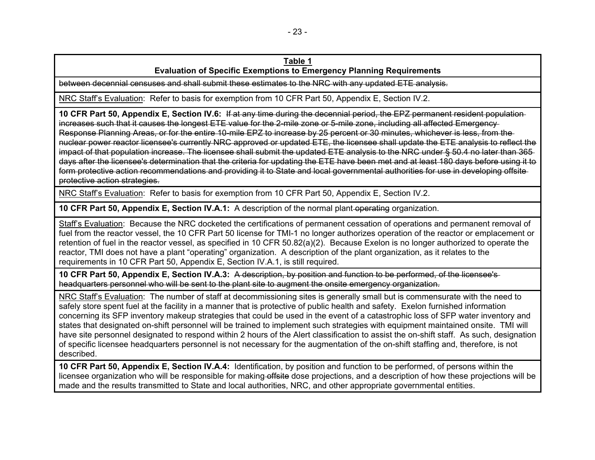# **Table 1**

## **Evaluation of Specific Exemptions to Emergency Planning Requirements**

between decennial censuses and shall submit these estimates to the NRC with any updated ETE analysis.

NRC Staff's Evaluation: Refer to basis for exemption from 10 CFR Part 50, Appendix E, Section IV.2.

**10 CFR Part 50, Appendix E, Section IV.6:** If at any time during the decennial period, the EPZ permanent resident population increases such that it causes the longest ETE value for the 2-mile zone or 5-mile zone, including all affected Emergency Response Planning Areas, or for the entire 10-mile EPZ to increase by 25 percent or 30 minutes, whichever is less, from the nuclear power reactor licensee's currently NRC approved or updated ETE, the licensee shall update the ETE analysis to reflect the impact of that population increase. The licensee shall submit the updated ETE analysis to the NRC under § 50.4 no later than 365days after the licensee's determination that the criteria for updating the ETE have been met and at least 180 days before using it to form protective action recommendations and providing it to State and local governmental authorities for use in developing offsite protective action strategies.

NRC Staff's Evaluation: Refer to basis for exemption from 10 CFR Part 50, Appendix E, Section IV.2.

**10 CFR Part 50, Appendix E, Section IV.A.1:** A description of the normal plant operating organization.

Staff's Evaluation: Because the NRC docketed the certifications of permanent cessation of operations and permanent removal of fuel from the reactor vessel, the 10 CFR Part 50 license for TMI-1 no longer authorizes operation of the reactor or emplacement or retention of fuel in the reactor vessel, as specified in 10 CFR 50.82(a)(2). Because Exelon is no longer authorized to operate the reactor, TMI does not have a plant "operating" organization. A description of the plant organization, as it relates to the requirements in 10 CFR Part 50, Appendix E, Section IV.A.1, is still required.

**10 CFR Part 50, Appendix E, Section IV.A.3:** A description, by position and function to be performed, of the licensee's headquarters personnel who will be sent to the plant site to augment the onsite emergency organization.

NRC Staff's Evaluation: The number of staff at decommissioning sites is generally small but is commensurate with the need to safely store spent fuel at the facility in a manner that is protective of public health and safety. Exelon furnished information concerning its SFP inventory makeup strategies that could be used in the event of a catastrophic loss of SFP water inventory and states that designated on-shift personnel will be trained to implement such strategies with equipment maintained onsite. TMI will have site personnel designated to respond within 2 hours of the Alert classification to assist the on-shift staff. As such, designation of specific licensee headquarters personnel is not necessary for the augmentation of the on-shift staffing and, therefore, is not described.

**10 CFR Part 50, Appendix E, Section IV.A.4:** Identification, by position and function to be performed, of persons within the licensee organization who will be responsible for making offsite dose projections, and a description of how these projections will be made and the results transmitted to State and local authorities, NRC, and other appropriate governmental entities.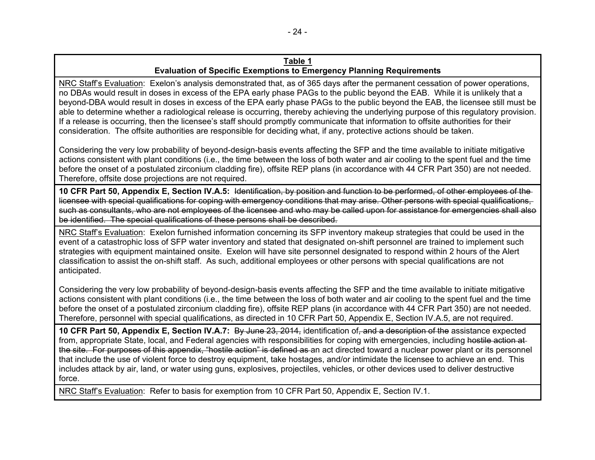NRC Staff's Evaluation: Exelon's analysis demonstrated that, as of 365 days after the permanent cessation of power operations, no DBAs would result in doses in excess of the EPA early phase PAGs to the public beyond the EAB. While it is unlikely that a beyond-DBA would result in doses in excess of the EPA early phase PAGs to the public beyond the EAB, the licensee still must be able to determine whether a radiological release is occurring, thereby achieving the underlying purpose of this regulatory provision. If a release is occurring, then the licensee's staff should promptly communicate that information to offsite authorities for their consideration. The offsite authorities are responsible for deciding what, if any, protective actions should be taken.

Considering the very low probability of beyond-design-basis events affecting the SFP and the time available to initiate mitigative actions consistent with plant conditions (i.e., the time between the loss of both water and air cooling to the spent fuel and the time before the onset of a postulated zirconium cladding fire), offsite REP plans (in accordance with 44 CFR Part 350) are not needed. Therefore, offsite dose projections are not required.

**10 CFR Part 50, Appendix E, Section IV.A.5:** Identification, by position and function to be performed, of other employees of the licensee with special qualifications for coping with emergency conditions that may arise. Other persons with special qualifications, such as consultants, who are not employees of the licensee and who may be called upon for assistance for emergencies shall also be identified. The special qualifications of these persons shall be described.

NRC Staff's Evaluation: Exelon furnished information concerning its SFP inventory makeup strategies that could be used in the event of a catastrophic loss of SFP water inventory and stated that designated on-shift personnel are trained to implement such strategies with equipment maintained onsite. Exelon will have site personnel designated to respond within 2 hours of the Alert classification to assist the on-shift staff. As such, additional employees or other persons with special qualifications are not anticipated.

Considering the very low probability of beyond-design-basis events affecting the SFP and the time available to initiate mitigative actions consistent with plant conditions (i.e., the time between the loss of both water and air cooling to the spent fuel and the time before the onset of a postulated zirconium cladding fire), offsite REP plans (in accordance with 44 CFR Part 350) are not needed. Therefore, personnel with special qualifications, as directed in 10 CFR Part 50, Appendix E, Section IV.A.5, are not required.

**10 CFR Part 50, Appendix E, Section IV.A.7:** By June 23, 2014, identification of, and a description of the assistance expected from, appropriate State, local, and Federal agencies with responsibilities for coping with emergencies, including hostile action at the site. For purposes of this appendix, "hostile action" is defined as an act directed toward a nuclear power plant or its personnel that include the use of violent force to destroy equipment, take hostages, and/or intimidate the licensee to achieve an end. This includes attack by air, land, or water using guns, explosives, projectiles, vehicles, or other devices used to deliver destructive force.

NRC Staff's Evaluation: Refer to basis for exemption from 10 CFR Part 50, Appendix E, Section IV.1.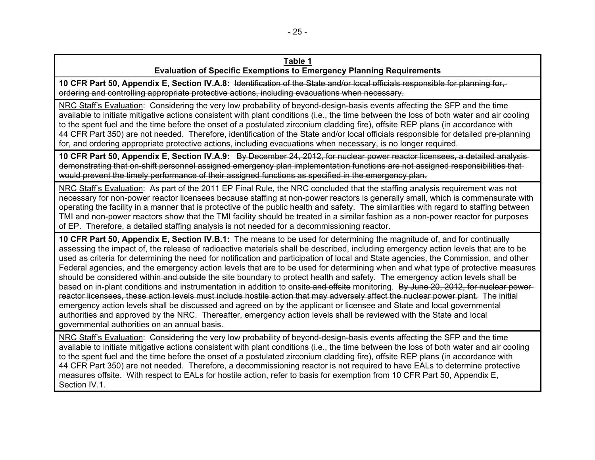**10 CFR Part 50, Appendix E, Section IV.A.8:** Identification of the State and/or local officials responsible for planning for, ordering and controlling appropriate protective actions, including evacuations when necessary.

NRC Staff's Evaluation: Considering the very low probability of beyond-design-basis events affecting the SFP and the time available to initiate mitigative actions consistent with plant conditions (i.e., the time between the loss of both water and air cooling to the spent fuel and the time before the onset of a postulated zirconium cladding fire), offsite REP plans (in accordance with 44 CFR Part 350) are not needed. Therefore, identification of the State and/or local officials responsible for detailed pre-planning for, and ordering appropriate protective actions, including evacuations when necessary, is no longer required.

**10 CFR Part 50, Appendix E, Section IV.A.9:** By December 24, 2012, for nuclear power reactor licensees, a detailed analysis demonstrating that on-shift personnel assigned emergency plan implementation functions are not assigned responsibilities that would prevent the timely performance of their assigned functions as specified in the emergency plan.

NRC Staff's Evaluation: As part of the 2011 EP Final Rule, the NRC concluded that the staffing analysis requirement was not necessary for non-power reactor licensees because staffing at non-power reactors is generally small, which is commensurate with operating the facility in a manner that is protective of the public health and safety. The similarities with regard to staffing between TMI and non-power reactors show that the TMI facility should be treated in a similar fashion as a non-power reactor for purposes of EP. Therefore, a detailed staffing analysis is not needed for a decommissioning reactor.

**10 CFR Part 50, Appendix E, Section IV.B.1:** The means to be used for determining the magnitude of, and for continually assessing the impact of, the release of radioactive materials shall be described, including emergency action levels that are to be used as criteria for determining the need for notification and participation of local and State agencies, the Commission, and other Federal agencies, and the emergency action levels that are to be used for determining when and what type of protective measures should be considered within and outside the site boundary to protect health and safety. The emergency action levels shall be based on in-plant conditions and instrumentation in addition to onsite and offsite monitoring. By June 20, 2012, for nuclear powerreactor licensees, these action levels must include hostile action that may adversely affect the nuclear power plant. The initial emergency action levels shall be discussed and agreed on by the applicant or licensee and State and local governmental authorities and approved by the NRC. Thereafter, emergency action levels shall be reviewed with the State and local governmental authorities on an annual basis.

NRC Staff's Evaluation: Considering the very low probability of beyond-design-basis events affecting the SFP and the time available to initiate mitigative actions consistent with plant conditions (i.e., the time between the loss of both water and air cooling to the spent fuel and the time before the onset of a postulated zirconium cladding fire), offsite REP plans (in accordance with 44 CFR Part 350) are not needed. Therefore, a decommissioning reactor is not required to have EALs to determine protective measures offsite. With respect to EALs for hostile action, refer to basis for exemption from 10 CFR Part 50, Appendix E, Section IV.1.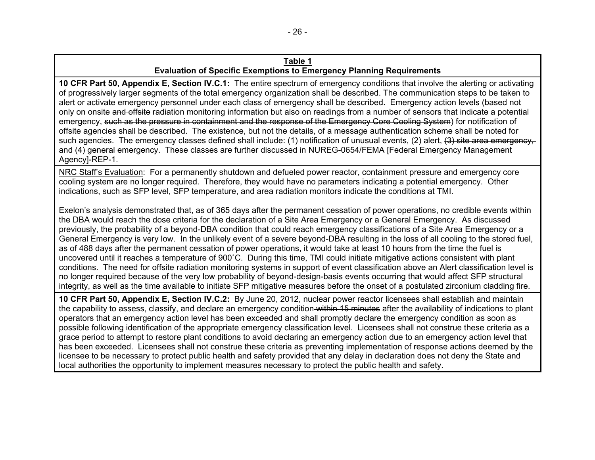**10 CFR Part 50, Appendix E, Section IV.C.1:** The entire spectrum of emergency conditions that involve the alerting or activating of progressively larger segments of the total emergency organization shall be described. The communication steps to be taken to alert or activate emergency personnel under each class of emergency shall be described. Emergency action levels (based not only on onsite and offsite radiation monitoring information but also on readings from a number of sensors that indicate a potential emergency, such as the pressure in containment and the response of the Emergency Core Cooling System) for notification of offsite agencies shall be described. The existence, but not the details, of a message authentication scheme shall be noted for such agencies. The emergency classes defined shall include: (1) notification of unusual events, (2) alert, (3) site area emergency. and (4) general emergency. These classes are further discussed in NUREG-0654/FEMA [Federal Emergency Management Agency]-REP-1.

NRC Staff's Evaluation: For a permanently shutdown and defueled power reactor, containment pressure and emergency core cooling system are no longer required. Therefore, they would have no parameters indicating a potential emergency. Other indications, such as SFP level, SFP temperature, and area radiation monitors indicate the conditions at TMI.

Exelon's analysis demonstrated that, as of 365 days after the permanent cessation of power operations, no credible events within the DBA would reach the dose criteria for the declaration of a Site Area Emergency or a General Emergency. As discussed previously, the probability of a beyond-DBA condition that could reach emergency classifications of a Site Area Emergency or a General Emergency is very low. In the unlikely event of a severe beyond-DBA resulting in the loss of all cooling to the stored fuel, as of 488 days after the permanent cessation of power operations, it would take at least 10 hours from the time the fuel is uncovered until it reaches a temperature of 900˚C. During this time, TMI could initiate mitigative actions consistent with plant conditions. The need for offsite radiation monitoring systems in support of event classification above an Alert classification level is no longer required because of the very low probability of beyond-design-basis events occurring that would affect SFP structural integrity, as well as the time available to initiate SFP mitigative measures before the onset of a postulated zirconium cladding fire.

**10 CFR Part 50, Appendix E, Section IV.C.2:** By June 20, 2012, nuclear power reactor licensees shall establish and maintain the capability to assess, classify, and declare an emergency condition within 15 minutes after the availability of indications to plant operators that an emergency action level has been exceeded and shall promptly declare the emergency condition as soon as possible following identification of the appropriate emergency classification level. Licensees shall not construe these criteria as a grace period to attempt to restore plant conditions to avoid declaring an emergency action due to an emergency action level that has been exceeded. Licensees shall not construe these criteria as preventing implementation of response actions deemed by the licensee to be necessary to protect public health and safety provided that any delay in declaration does not deny the State and local authorities the opportunity to implement measures necessary to protect the public health and safety.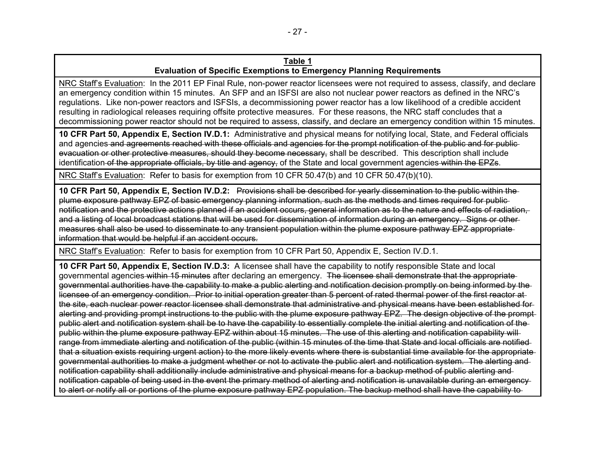NRC Staff's Evaluation: In the 2011 EP Final Rule, non-power reactor licensees were not required to assess, classify, and declare an emergency condition within 15 minutes. An SFP and an ISFSI are also not nuclear power reactors as defined in the NRC's regulations. Like non-power reactors and ISFSIs, a decommissioning power reactor has a low likelihood of a credible accident resulting in radiological releases requiring offsite protective measures. For these reasons, the NRC staff concludes that a decommissioning power reactor should not be required to assess, classify, and declare an emergency condition within 15 minutes.

**10 CFR Part 50, Appendix E, Section IV.D.1:** Administrative and physical means for notifying local, State, and Federal officials and agencies and agreements reached with these officials and agencies for the prompt notification of the public and for publicevacuation or other protective measures, should they become necessary, shall be described. This description shall include identification of the appropriate officials, by title and agency, of the State and local government agencies within the EPZs.

NRC Staff's Evaluation: Refer to basis for exemption from 10 CFR 50.47(b) and 10 CFR 50.47(b)(10).

**10 CFR Part 50, Appendix E, Section IV.D.2:** Provisions shall be described for yearly dissemination to the public within the plume exposure pathway EPZ of basic emergency planning information, such as the methods and times required for public notification and the protective actions planned if an accident occurs, general information as to the nature and effects of radiation, and a listing of local broadcast stations that will be used for dissemination of information during an emergency. Signs or other measures shall also be used to disseminate to any transient population within the plume exposure pathway EPZ appropriate information that would be helpful if an accident occurs.

NRC Staff's Evaluation: Refer to basis for exemption from 10 CFR Part 50, Appendix E, Section IV.D.1.

**10 CFR Part 50, Appendix E, Section IV.D.3:** A licensee shall have the capability to notify responsible State and local governmental agencies within 15 minutes after declaring an emergency. The licensee shall demonstrate that the appropriate governmental authorities have the capability to make a public alerting and notification decision promptly on being informed by the licensee of an emergency condition. Prior to initial operation greater than 5 percent of rated thermal power of the first reactor at the site, each nuclear power reactor licensee shall demonstrate that administrative and physical means have been established for alerting and providing prompt instructions to the public with the plume exposure pathway EPZ. The design objective of the prompt public alert and notification system shall be to have the capability to essentially complete the initial alerting and notification of the public within the plume exposure pathway EPZ within about 15 minutes. The use of this alerting and notification capability will range from immediate alerting and notification of the public (within 15 minutes of the time that State and local officials are notified that a situation exists requiring urgent action) to the more likely events where there is substantial time available for the appropriate governmental authorities to make a judgment whether or not to activate the public alert and notification system. The alerting and notification capability shall additionally include administrative and physical means for a backup method of public alerting and notification capable of being used in the event the primary method of alerting and notification is unavailable during an emergency to alert or notify all or portions of the plume exposure pathway EPZ population. The backup method shall have the capability to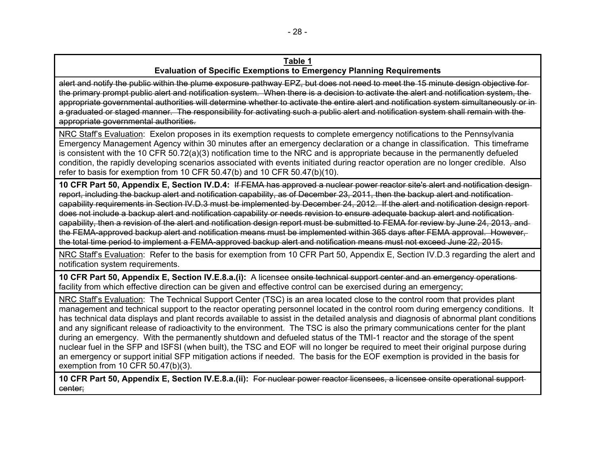alert and notify the public within the plume exposure pathway EPZ, but does not need to meet the 15 minute design objective for the primary prompt public alert and notification system. When there is a decision to activate the alert and notification system, the appropriate governmental authorities will determine whether to activate the entire alert and notification system simultaneously or ina graduated or staged manner. The responsibility for activating such a public alert and notification system shall remain with the appropriate governmental authorities.

NRC Staff's Evaluation: Exelon proposes in its exemption requests to complete emergency notifications to the Pennsylvania Emergency Management Agency within 30 minutes after an emergency declaration or a change in classification. This timeframe is consistent with the 10 CFR 50.72(a)(3) notification time to the NRC and is appropriate because in the permanently defueled condition, the rapidly developing scenarios associated with events initiated during reactor operation are no longer credible. Also refer to basis for exemption from 10 CFR 50.47(b) and 10 CFR 50.47(b)(10).

**10 CFR Part 50, Appendix E, Section IV.D.4:** If FEMA has approved a nuclear power reactor site's alert and notification design report, including the backup alert and notification capability, as of December 23, 2011, then the backup alert and notification capability requirements in Section IV.D.3 must be implemented by December 24, 2012. If the alert and notification design reportdoes not include a backup alert and notification capability or needs revision to ensure adequate backup alert and notification capability, then a revision of the alert and notification design report must be submitted to FEMA for review by June 24, 2013, and the FEMA-approved backup alert and notification means must be implemented within 365 days after FEMA approval. However, the total time period to implement a FEMA-approved backup alert and notification means must not exceed June 22, 2015.

NRC Staff's Evaluation: Refer to the basis for exemption from 10 CFR Part 50, Appendix E, Section IV.D.3 regarding the alert and notification system requirements.

**10 CFR Part 50, Appendix E, Section IV.E.8.a.(i):** A licensee onsite technical support center and an emergency operations facility from which effective direction can be given and effective control can be exercised during an emergency;

NRC Staff's Evaluation: The Technical Support Center (TSC) is an area located close to the control room that provides plant management and technical support to the reactor operating personnel located in the control room during emergency conditions. It has technical data displays and plant records available to assist in the detailed analysis and diagnosis of abnormal plant conditions and any significant release of radioactivity to the environment. The TSC is also the primary communications center for the plant during an emergency. With the permanently shutdown and defueled status of the TMI-1 reactor and the storage of the spent nuclear fuel in the SFP and ISFSI (when built), the TSC and EOF will no longer be required to meet their original purpose during an emergency or support initial SFP mitigation actions if needed. The basis for the EOF exemption is provided in the basis for exemption from 10 CFR 50.47(b)(3).

**10 CFR Part 50, Appendix E, Section IV.E.8.a.(ii):** For nuclear power reactor licensees, a licensee onsite operational support center;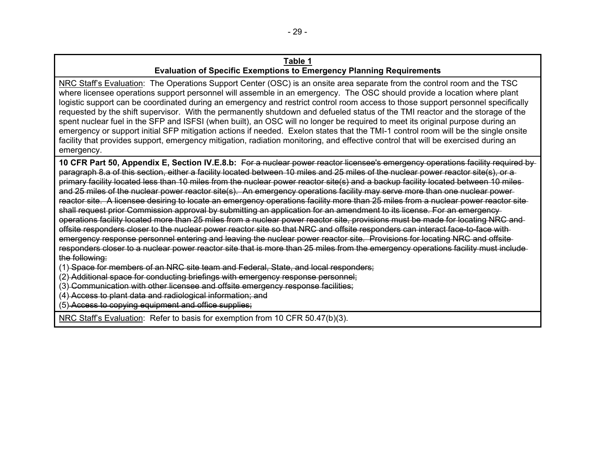NRC Staff's Evaluation: The Operations Support Center (OSC) is an onsite area separate from the control room and the TSC where licensee operations support personnel will assemble in an emergency. The OSC should provide a location where plant logistic support can be coordinated during an emergency and restrict control room access to those support personnel specifically requested by the shift supervisor. With the permanently shutdown and defueled status of the TMI reactor and the storage of the spent nuclear fuel in the SFP and ISFSI (when built), an OSC will no longer be required to meet its original purpose during an emergency or support initial SFP mitigation actions if needed. Exelon states that the TMI-1 control room will be the single onsite facility that provides support, emergency mitigation, radiation monitoring, and effective control that will be exercised during an emergency.

**10 CFR Part 50, Appendix E, Section IV.E.8.b:** For a nuclear power reactor licensee's emergency operations facility required by paragraph 8.a of this section, either a facility located between 10 miles and 25 miles of the nuclear power reactor site(s), or a primary facility located less than 10 miles from the nuclear power reactor site(s) and a backup facility located between 10 miles and 25 miles of the nuclear power reactor site(s). An emergency operations facility may serve more than one nuclear power reactor site. A licensee desiring to locate an emergency operations facility more than 25 miles from a nuclear power reactor site shall request prior Commission approval by submitting an application for an amendment to its license. For an emergency operations facility located more than 25 miles from a nuclear power reactor site, provisions must be made for locating NRC and offsite responders closer to the nuclear power reactor site so that NRC and offsite responders can interact face-to-face with emergency response personnel entering and leaving the nuclear power reactor site. Provisions for locating NRC and offsite responders closer to a nuclear power reactor site that is more than 25 miles from the emergency operations facility must include the following:

(1) Space for members of an NRC site team and Federal, State, and local responders;

(2) Additional space for conducting briefings with emergency response personnel;

(3) Communication with other licensee and offsite emergency response facilities;

(4) Access to plant data and radiological information; and

(5) Access to copying equipment and office supplies;

NRC Staff's Evaluation: Refer to basis for exemption from 10 CFR 50.47(b)(3).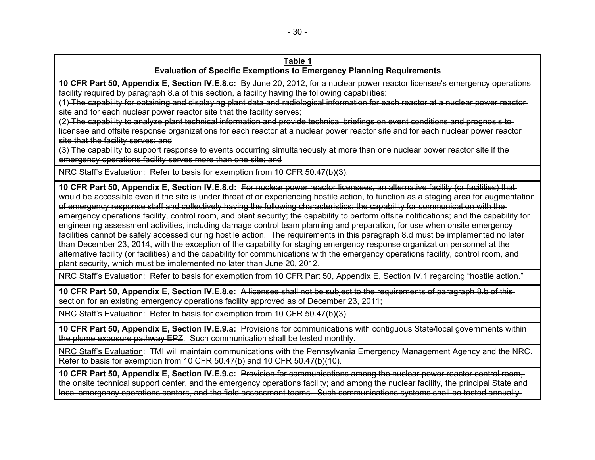**10 CFR Part 50, Appendix E, Section IV.E.8.c:** By June 20, 2012, for a nuclear power reactor licensee's emergency operations facility required by paragraph 8.a of this section, a facility having the following capabilities:

(1) The capability for obtaining and displaying plant data and radiological information for each reactor at a nuclear power reactor site and for each nuclear power reactor site that the facility serves;

(2) The capability to analyze plant technical information and provide technical briefings on event conditions and prognosis to licensee and offsite response organizations for each reactor at a nuclear power reactor site and for each nuclear power reactor site that the facility serves; and

(3) The capability to support response to events occurring simultaneously at more than one nuclear power reactor site if the emergency operations facility serves more than one site; and

NRC Staff's Evaluation: Refer to basis for exemption from 10 CFR 50.47(b)(3).

**10 CFR Part 50, Appendix E, Section IV.E.8.d:** For nuclear power reactor licensees, an alternative facility (or facilities) that would be accessible even if the site is under threat of or experiencing hostile action, to function as a staging area for augmentation of emergency response staff and collectively having the following characteristics: the capability for communication with the emergency operations facility, control room, and plant security; the capability to perform offsite notifications; and the capability for engineering assessment activities, including damage control team planning and preparation, for use when onsite emergency facilities cannot be safely accessed during hostile action. The requirements in this paragraph 8.d must be implemented no later than December 23, 2014, with the exception of the capability for staging emergency response organization personnel at the alternative facility (or facilities) and the capability for communications with the emergency operations facility, control room, and plant security, which must be implemented no later than June 20, 2012.

NRC Staff's Evaluation: Refer to basis for exemption from 10 CFR Part 50, Appendix E, Section IV.1 regarding "hostile action."

**10 CFR Part 50, Appendix E, Section IV.E.8.e:** A licensee shall not be subject to the requirements of paragraph 8.b of this section for an existing emergency operations facility approved as of December 23, 2011;

NRC Staff's Evaluation: Refer to basis for exemption from 10 CFR 50.47(b)(3).

**10 CFR Part 50, Appendix E, Section IV.E.9.a:** Provisions for communications with contiguous State/local governments within the plume exposure pathway EPZ. Such communication shall be tested monthly.

NRC Staff's Evaluation: TMI will maintain communications with the Pennsylvania Emergency Management Agency and the NRC. Refer to basis for exemption from 10 CFR 50.47(b) and 10 CFR 50.47(b)(10).

**10 CFR Part 50, Appendix E, Section IV.E.9.c:** Provision for communications among the nuclear power reactor control room, the onsite technical support center, and the emergency operations facility; and among the nuclear facility, the principal State and local emergency operations centers, and the field assessment teams. Such communications systems shall be tested annually.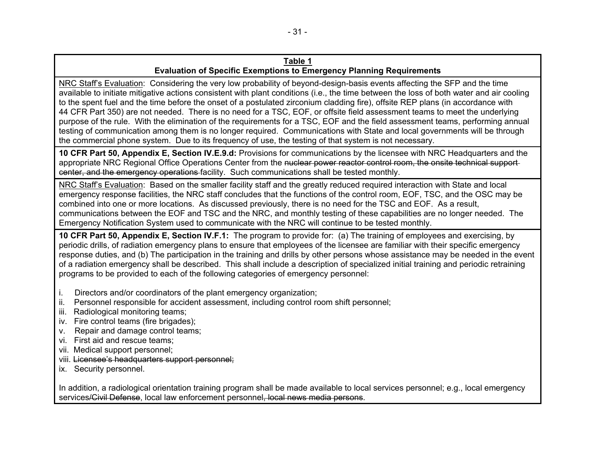NRC Staff's Evaluation: Considering the very low probability of beyond-design-basis events affecting the SFP and the time available to initiate mitigative actions consistent with plant conditions (i.e., the time between the loss of both water and air cooling to the spent fuel and the time before the onset of a postulated zirconium cladding fire), offsite REP plans (in accordance with 44 CFR Part 350) are not needed. There is no need for a TSC, EOF, or offsite field assessment teams to meet the underlying purpose of the rule. With the elimination of the requirements for a TSC, EOF and the field assessment teams, performing annual testing of communication among them is no longer required. Communications with State and local governments will be through the commercial phone system. Due to its frequency of use, the testing of that system is not necessary.

**10 CFR Part 50, Appendix E, Section IV.E.9.d:** Provisions for communications by the licensee with NRC Headquarters and the appropriate NRC Regional Office Operations Center from the nuclear power reactor control room, the onsite technical supportcenter, and the emergency operations facility. Such communications shall be tested monthly.

NRC Staff's Evaluation: Based on the smaller facility staff and the greatly reduced required interaction with State and local emergency response facilities, the NRC staff concludes that the functions of the control room, EOF, TSC, and the OSC may be combined into one or more locations. As discussed previously, there is no need for the TSC and EOF. As a result, communications between the EOF and TSC and the NRC, and monthly testing of these capabilities are no longer needed. The Emergency Notification System used to communicate with the NRC will continue to be tested monthly.

**10 CFR Part 50, Appendix E, Section IV.F.1:** The program to provide for: (a) The training of employees and exercising, by periodic drills, of radiation emergency plans to ensure that employees of the licensee are familiar with their specific emergency response duties, and (b) The participation in the training and drills by other persons whose assistance may be needed in the event of a radiation emergency shall be described. This shall include a description of specialized initial training and periodic retraining programs to be provided to each of the following categories of emergency personnel:

- i. Directors and/or coordinators of the plant emergency organization;
- ii. Personnel responsible for accident assessment, including control room shift personnel;
- iii. Radiological monitoring teams;
- iv. Fire control teams (fire brigades);
- v. Repair and damage control teams;
- vi. First aid and rescue teams;
- vii. Medical support personnel;
- viii. Licensee's headquarters support personnel;
- ix. Security personnel.

In addition, a radiological orientation training program shall be made available to local services personnel; e.g., local emergency services/Civil Defense, local law enforcement personnel, local news media persons.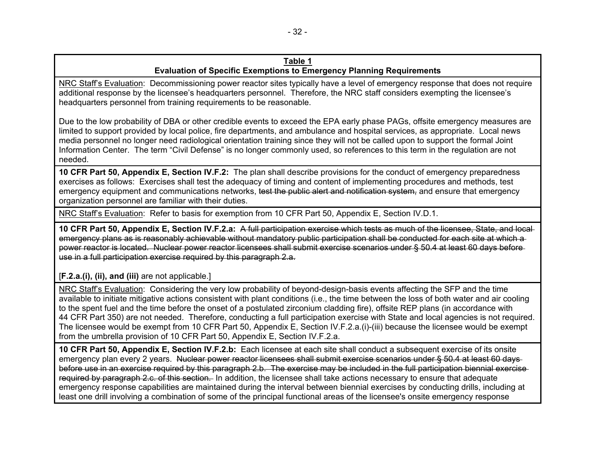NRC Staff's Evaluation: Decommissioning power reactor sites typically have a level of emergency response that does not require additional response by the licensee's headquarters personnel. Therefore, the NRC staff considers exempting the licensee's headquarters personnel from training requirements to be reasonable.

Due to the low probability of DBA or other credible events to exceed the EPA early phase PAGs, offsite emergency measures are limited to support provided by local police, fire departments, and ambulance and hospital services, as appropriate. Local news media personnel no longer need radiological orientation training since they will not be called upon to support the formal Joint Information Center. The term "Civil Defense" is no longer commonly used, so references to this term in the regulation are not needed.

**10 CFR Part 50, Appendix E, Section IV.F.2:** The plan shall describe provisions for the conduct of emergency preparedness exercises as follows: Exercises shall test the adequacy of timing and content of implementing procedures and methods, test emergency equipment and communications networks, test the public alert and notification system, and ensure that emergency organization personnel are familiar with their duties.

NRC Staff's Evaluation: Refer to basis for exemption from 10 CFR Part 50, Appendix E, Section IV.D.1.

**10 CFR Part 50, Appendix E, Section IV.F.2.a:** A full participation exercise which tests as much of the licensee, State, and local emergency plans as is reasonably achievable without mandatory public participation shall be conducted for each site at which a power reactor is located. Nuclear power reactor licensees shall submit exercise scenarios under § 50.4 at least 60 days before use in a full participation exercise required by this paragraph 2.a.

## [**F.2.a.(i), (ii), and (iii)** are not applicable.]

NRC Staff's Evaluation: Considering the very low probability of beyond-design-basis events affecting the SFP and the time available to initiate mitigative actions consistent with plant conditions (i.e., the time between the loss of both water and air cooling to the spent fuel and the time before the onset of a postulated zirconium cladding fire), offsite REP plans (in accordance with 44 CFR Part 350) are not needed. Therefore, conducting a full participation exercise with State and local agencies is not required. The licensee would be exempt from 10 CFR Part 50, Appendix E, Section IV.F.2.a.(i)-(iii) because the licensee would be exempt from the umbrella provision of 10 CFR Part 50, Appendix E, Section IV.F.2.a.

**10 CFR Part 50, Appendix E, Section IV.F.2.b:** Each licensee at each site shall conduct a subsequent exercise of its onsite emergency plan every 2 years. Nuclear power reactor licensees shall submit exercise scenarios under § 50.4 at least 60 days before use in an exercise required by this paragraph 2.b. The exercise may be included in the full participation biennial exercise required by paragraph 2.c. of this section. In addition, the licensee shall take actions necessary to ensure that adequate emergency response capabilities are maintained during the interval between biennial exercises by conducting drills, including at least one drill involving a combination of some of the principal functional areas of the licensee's onsite emergency response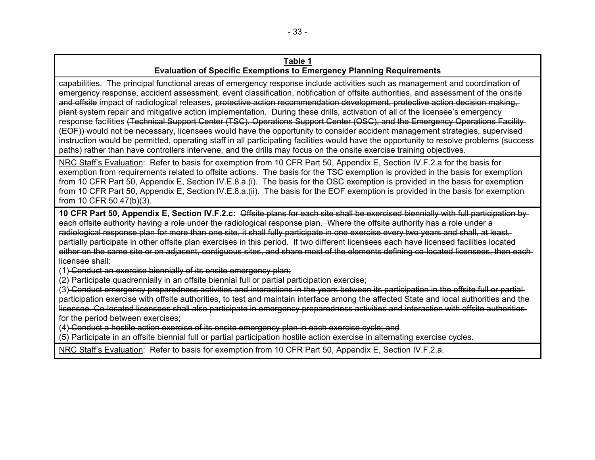capabilities. The principal functional areas of emergency response include activities such as management and coordination of emergency response, accident assessment, event classification, notification of offsite authorities, and assessment of the onsite and offsite impact of radiological releases, protective action recommendation development, protective action decision making, plant system repair and mitigative action implementation. During these drills, activation of all of the licensee's emergency response facilities (Technical Support Center (TSC), Operations Support Center (OSC), and the Emergency Operations Facility (EOF)) would not be necessary, licensees would have the opportunity to consider accident management strategies, supervised instruction would be permitted, operating staff in all participating facilities would have the opportunity to resolve problems (success paths) rather than have controllers intervene, and the drills may focus on the onsite exercise training objectives.

NRC Staff's Evaluation: Refer to basis for exemption from 10 CFR Part 50, Appendix E, Section IV.F.2.a for the basis for exemption from requirements related to offsite actions. The basis for the TSC exemption is provided in the basis for exemption from 10 CFR Part 50, Appendix E, Section IV.E.8.a.(i). The basis for the OSC exemption is provided in the basis for exemption from 10 CFR Part 50, Appendix E, Section IV.E.8.a.(ii). The basis for the EOF exemption is provided in the basis for exemption from 10 CFR 50.47(b)(3).

**10 CFR Part 50, Appendix E, Section IV.F.2.c:** Offsite plans for each site shall be exercised biennially with full participation by each offsite authority having a role under the radiological response plan. Where the offsite authority has a role under a radiological response plan for more than one site, it shall fully participate in one exercise every two years and shall, at least, partially participate in other offsite plan exercises in this period. If two different licensees each have licensed facilities located either on the same site or on adjacent, contiguous sites, and share most of the elements defining co-located licensees, then each licensee shall:

(1) Conduct an exercise biennially of its onsite emergency plan;

(2) Participate quadrennially in an offsite biennial full or partial participation exercise;

(3) Conduct emergency preparedness activities and interactions in the years between its participation in the offsite full or partial participation exercise with offsite authorities, to test and maintain interface among the affected State and local authorities and the licensee. Co-located licensees shall also participate in emergency preparedness activities and interaction with offsite authorities for the period between exercises;

(4) Conduct a hostile action exercise of its onsite emergency plan in each exercise cycle; and

(5) Participate in an offsite biennial full or partial participation hostile action exercise in alternating exercise cycles.

NRC Staff's Evaluation: Refer to basis for exemption from 10 CFR Part 50, Appendix E, Section IV.F.2.a.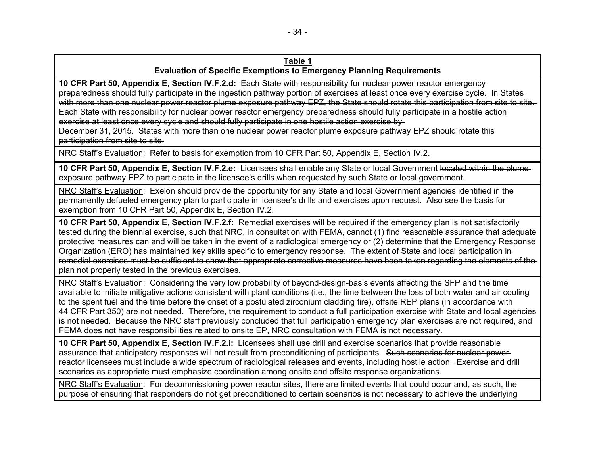**10 CFR Part 50, Appendix E, Section IV.F.2.d:** Each State with responsibility for nuclear power reactor emergency preparedness should fully participate in the ingestion pathway portion of exercises at least once every exercise cycle. In States with more than one nuclear power reactor plume exposure pathway EPZ, the State should rotate this participation from site to site. Each State with responsibility for nuclear power reactor emergency preparedness should fully participate in a hostile action exercise at least once every cycle and should fully participate in one hostile action exercise by

December 31, 2015. States with more than one nuclear power reactor plume exposure pathway EPZ should rotate this participation from site to site.

NRC Staff's Evaluation: Refer to basis for exemption from 10 CFR Part 50, Appendix E, Section IV.2.

**10 CFR Part 50, Appendix E, Section IV.F.2.e:** Licensees shall enable any State or local Government located within the plume exposure pathway EPZ to participate in the licensee's drills when requested by such State or local government.

NRC Staff's Evaluation: Exelon should provide the opportunity for any State and local Government agencies identified in the permanently defueled emergency plan to participate in licensee's drills and exercises upon request. Also see the basis for exemption from 10 CFR Part 50, Appendix E, Section IV.2.

**10 CFR Part 50, Appendix E, Section IV.F.2.f:** Remedial exercises will be required if the emergency plan is not satisfactorily tested during the biennial exercise, such that NRC, in consultation with FEMA, cannot (1) find reasonable assurance that adequate protective measures can and will be taken in the event of a radiological emergency or (2) determine that the Emergency Response Organization (ERO) has maintained key skills specific to emergency response. The extent of State and local participation inremedial exercises must be sufficient to show that appropriate corrective measures have been taken regarding the elements of the plan not properly tested in the previous exercises.

NRC Staff's Evaluation: Considering the very low probability of beyond-design-basis events affecting the SFP and the time available to initiate mitigative actions consistent with plant conditions (i.e., the time between the loss of both water and air cooling to the spent fuel and the time before the onset of a postulated zirconium cladding fire), offsite REP plans (in accordance with 44 CFR Part 350) are not needed. Therefore, the requirement to conduct a full participation exercise with State and local agencies is not needed. Because the NRC staff previously concluded that full participation emergency plan exercises are not required, and FEMA does not have responsibilities related to onsite EP, NRC consultation with FEMA is not necessary.

**10 CFR Part 50, Appendix E, Section IV.F.2.i:** Licensees shall use drill and exercise scenarios that provide reasonable assurance that anticipatory responses will not result from preconditioning of participants. Such scenarios for nuclear powerreactor licensees must include a wide spectrum of radiological releases and events, including hostile action. Exercise and drill scenarios as appropriate must emphasize coordination among onsite and offsite response organizations.

NRC Staff's Evaluation: For decommissioning power reactor sites, there are limited events that could occur and, as such, the purpose of ensuring that responders do not get preconditioned to certain scenarios is not necessary to achieve the underlying